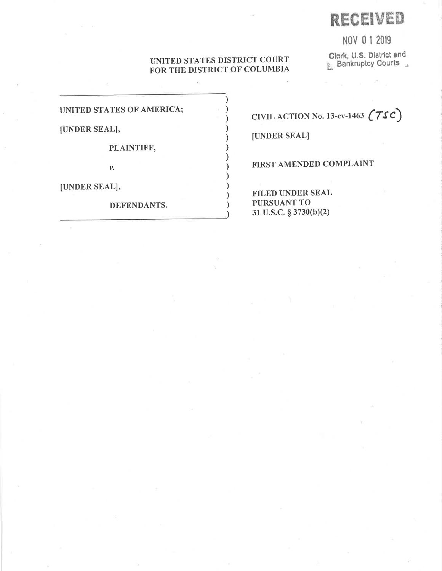# **RECEIVED**

NOV 0 1 2019

# UNITED STATES DISTRICT COURT FOR THE DISTRICT OF COLUMBIA

Clerk, U.S. District and<br>E. Bankruptcy Courts

UNITED STATES OF AMERICA;

[UNDER SEAL],

PLAINTIFF,

 $\mathcal{V}_*$ 

[UNDER SEAL],

DEFENDANTS.

CIVIL ACTION No. 13-cv-1463  $(7sc)$ 

[UNDER SEAL]

FIRST AMENDED COMPLAINT

**FILED UNDER SEAL** PURSUANT TO 31 U.S.C. § 3730(b)(2)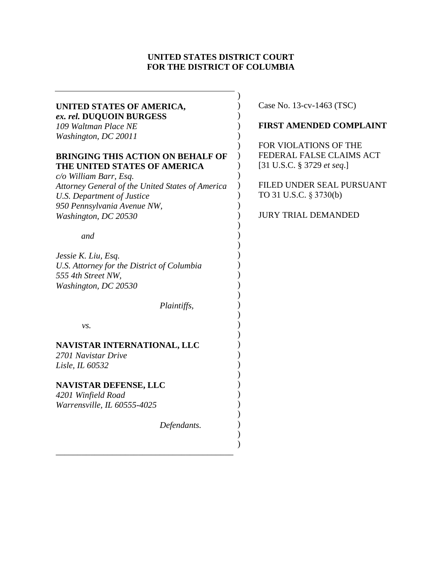# **UNITED STATES DISTRICT COURT FOR THE DISTRICT OF COLUMBIA**

| UNITED STATES OF AMERICA,                        |             | $C_{\mathcal{C}}$ |
|--------------------------------------------------|-------------|-------------------|
| ex. rel. DUQUOIN BURGESS                         |             |                   |
| 109 Waltman Place NE                             |             | F                 |
| Washington, DC 20011                             |             |                   |
|                                                  |             | F(                |
| <b>BRINGING THIS ACTION ON BEHALF OF</b>         |             | FI                |
| THE UNITED STATES OF AMERICA                     |             | $\sqrt{3}$        |
|                                                  |             |                   |
| c/o William Barr, Esq.                           |             | FI                |
| Attorney General of the United States of America |             | T <sup>(</sup>    |
| <b>U.S. Department of Justice</b>                |             |                   |
| 950 Pennsylvania Avenue NW,                      |             |                   |
| Washington, DC 20530                             |             | JU                |
|                                                  |             |                   |
| and                                              |             |                   |
|                                                  |             |                   |
| Jessie K. Liu, Esq.                              |             |                   |
| U.S. Attorney for the District of Columbia       |             |                   |
| 555 4th Street NW,                               |             |                   |
| Washington, DC 20530                             |             |                   |
|                                                  |             |                   |
|                                                  | Plaintiffs, |                   |
|                                                  |             |                   |
| vs.                                              |             |                   |
|                                                  |             |                   |
| NAVISTAR INTERNATIONAL, LLC                      |             |                   |
| 2701 Navistar Drive                              |             |                   |
| Lisle, IL 60532                                  |             |                   |
|                                                  |             |                   |
| <b>NAVISTAR DEFENSE, LLC</b>                     |             |                   |
| 4201 Winfield Road                               |             |                   |
|                                                  |             |                   |
| Warrensville, IL 60555-4025                      |             |                   |
|                                                  |             |                   |
|                                                  | Defendants. |                   |
|                                                  |             |                   |
|                                                  |             |                   |
|                                                  |             |                   |

Case No.  $13$ -cv- $1463$  (TSC)

# **FIRST AMENDED COMPLAINT**

OR VIOLATIONS OF THE FEDERAL FALSE CLAIMS ACT [31 U.S.C. § 3729 *et seq*.]

ILED UNDER SEAL PURSUANT O 31 U.S.C. § 3730(b)

JRY TRIAL DEMANDED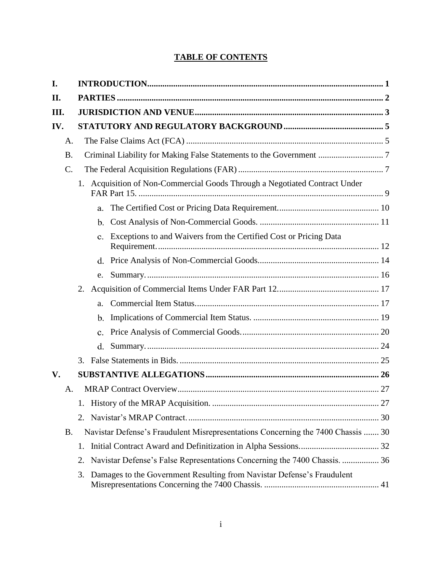# **TABLE OF CONTENTS**

| I.              |    |                                                                                  |  |  |
|-----------------|----|----------------------------------------------------------------------------------|--|--|
| II.             |    |                                                                                  |  |  |
| III.            |    |                                                                                  |  |  |
| IV.             |    |                                                                                  |  |  |
| А.              |    |                                                                                  |  |  |
| <b>B.</b>       |    | Criminal Liability for Making False Statements to the Government  7              |  |  |
| $\mathcal{C}$ . |    |                                                                                  |  |  |
|                 |    | 1. Acquisition of Non-Commercial Goods Through a Negotiated Contract Under       |  |  |
|                 |    | a.                                                                               |  |  |
|                 |    | b.                                                                               |  |  |
|                 |    | Exceptions to and Waivers from the Certified Cost or Pricing Data<br>$c_{\cdot}$ |  |  |
|                 |    |                                                                                  |  |  |
|                 |    | e.                                                                               |  |  |
|                 | 2. |                                                                                  |  |  |
|                 |    | a.                                                                               |  |  |
|                 |    | $\mathbf{b}$ .                                                                   |  |  |
|                 |    | $\mathbf{c}$ .                                                                   |  |  |
|                 |    | $d_{\cdot}$                                                                      |  |  |
|                 |    |                                                                                  |  |  |
| V.              |    |                                                                                  |  |  |
| A.              |    |                                                                                  |  |  |
|                 |    |                                                                                  |  |  |
|                 | 2. |                                                                                  |  |  |
| <b>B.</b>       |    | Navistar Defense's Fraudulent Misrepresentations Concerning the 7400 Chassis  30 |  |  |
|                 | 1. |                                                                                  |  |  |
|                 | 2. | Navistar Defense's False Representations Concerning the 7400 Chassis.  36        |  |  |
|                 | 3. | Damages to the Government Resulting from Navistar Defense's Fraudulent           |  |  |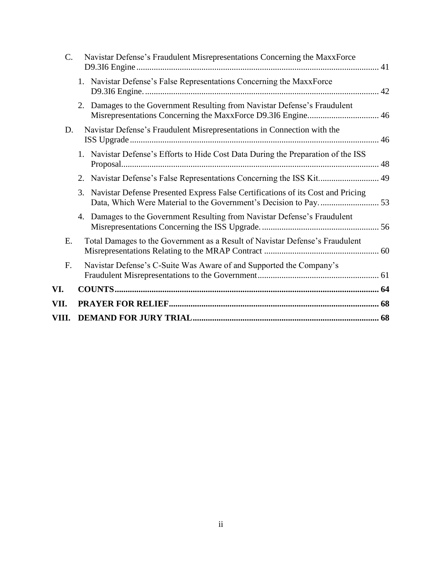| VIII. |                                                                                                                                           |  |
|-------|-------------------------------------------------------------------------------------------------------------------------------------------|--|
| VII.  |                                                                                                                                           |  |
| VI.   |                                                                                                                                           |  |
| F.    | Navistar Defense's C-Suite Was Aware of and Supported the Company's                                                                       |  |
| Ε.    | Total Damages to the Government as a Result of Navistar Defense's Fraudulent                                                              |  |
|       | Damages to the Government Resulting from Navistar Defense's Fraudulent<br>4.                                                              |  |
|       | Navistar Defense Presented Express False Certifications of its Cost and Pricing<br>3.                                                     |  |
|       | 2. Navistar Defense's False Representations Concerning the ISS Kit 49                                                                     |  |
|       | 1. Navistar Defense's Efforts to Hide Cost Data During the Preparation of the ISS                                                         |  |
| D.    | Navistar Defense's Fraudulent Misrepresentations in Connection with the                                                                   |  |
|       | 2. Damages to the Government Resulting from Navistar Defense's Fraudulent<br>Misrepresentations Concerning the MaxxForce D9.3I6 Engine 46 |  |
|       | 1. Navistar Defense's False Representations Concerning the MaxxForce                                                                      |  |
| C.    | Navistar Defense's Fraudulent Misrepresentations Concerning the MaxxForce                                                                 |  |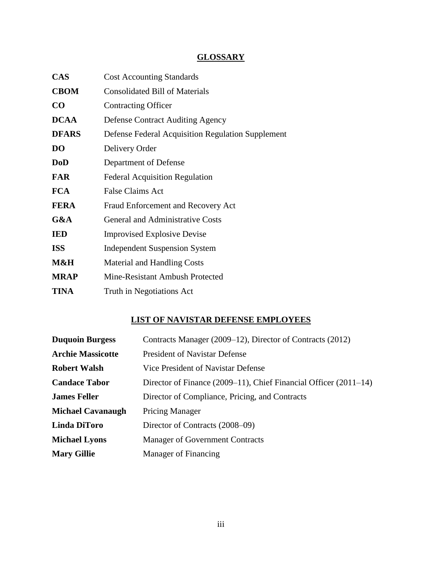# **GLOSSARY**

| <b>CAS</b>     | <b>Cost Accounting Standards</b>                  |
|----------------|---------------------------------------------------|
| <b>CBOM</b>    | <b>Consolidated Bill of Materials</b>             |
| $\bf CO$       | <b>Contracting Officer</b>                        |
| <b>DCAA</b>    | <b>Defense Contract Auditing Agency</b>           |
| <b>DFARS</b>   | Defense Federal Acquisition Regulation Supplement |
| D <sub>O</sub> | Delivery Order                                    |
| <b>DoD</b>     | Department of Defense                             |
| <b>FAR</b>     | <b>Federal Acquisition Regulation</b>             |
| <b>FCA</b>     | <b>False Claims Act</b>                           |
| <b>FERA</b>    | Fraud Enforcement and Recovery Act                |
| G&A            | <b>General and Administrative Costs</b>           |
| <b>IED</b>     | <b>Improvised Explosive Devise</b>                |
| <b>ISS</b>     | <b>Independent Suspension System</b>              |
| M&H            | Material and Handling Costs                       |
| <b>MRAP</b>    | Mine-Resistant Ambush Protected                   |
| <b>TINA</b>    | Truth in Negotiations Act                         |

# **LIST OF NAVISTAR DEFENSE EMPLOYEES**

| <b>Duquoin Burgess</b>   | Contracts Manager (2009–12), Director of Contracts (2012)             |
|--------------------------|-----------------------------------------------------------------------|
| <b>Archie Massicotte</b> | <b>President of Navistar Defense</b>                                  |
| <b>Robert Walsh</b>      | Vice President of Navistar Defense                                    |
| <b>Candace Tabor</b>     | Director of Finance $(2009-11)$ , Chief Financial Officer $(2011-14)$ |
| <b>James Feller</b>      | Director of Compliance, Pricing, and Contracts                        |
| <b>Michael Cavanaugh</b> | <b>Pricing Manager</b>                                                |
| Linda DiToro             | Director of Contracts (2008–09)                                       |
| <b>Michael Lyons</b>     | Manager of Government Contracts                                       |
| <b>Mary Gillie</b>       | <b>Manager of Financing</b>                                           |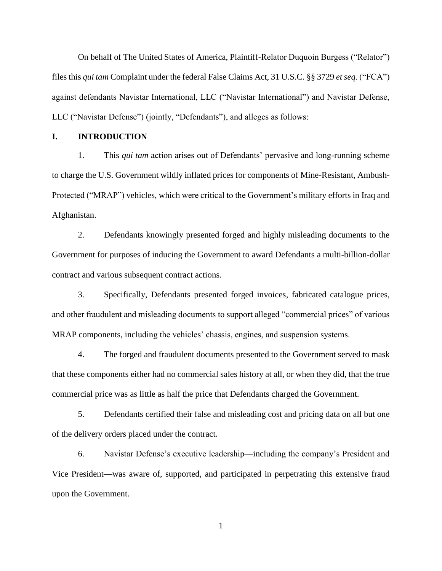On behalf of The United States of America, Plaintiff-Relator Duquoin Burgess ("Relator") files this *qui tam* Complaint under the federal False Claims Act, 31 U.S.C. §§ 3729 *et seq*. ("FCA") against defendants Navistar International, LLC ("Navistar International") and Navistar Defense, LLC ("Navistar Defense") (jointly, "Defendants"), and alleges as follows:

# <span id="page-5-0"></span>**I. INTRODUCTION**

1. This *qui tam* action arises out of Defendants' pervasive and long-running scheme to charge the U.S. Government wildly inflated prices for components of Mine-Resistant, Ambush-Protected ("MRAP") vehicles, which were critical to the Government's military efforts in Iraq and Afghanistan.

2. Defendants knowingly presented forged and highly misleading documents to the Government for purposes of inducing the Government to award Defendants a multi-billion-dollar contract and various subsequent contract actions.

3. Specifically, Defendants presented forged invoices, fabricated catalogue prices, and other fraudulent and misleading documents to support alleged "commercial prices" of various MRAP components, including the vehicles' chassis, engines, and suspension systems.

4. The forged and fraudulent documents presented to the Government served to mask that these components either had no commercial sales history at all, or when they did, that the true commercial price was as little as half the price that Defendants charged the Government.

5. Defendants certified their false and misleading cost and pricing data on all but one of the delivery orders placed under the contract.

6. Navistar Defense's executive leadership—including the company's President and Vice President—was aware of, supported, and participated in perpetrating this extensive fraud upon the Government.

1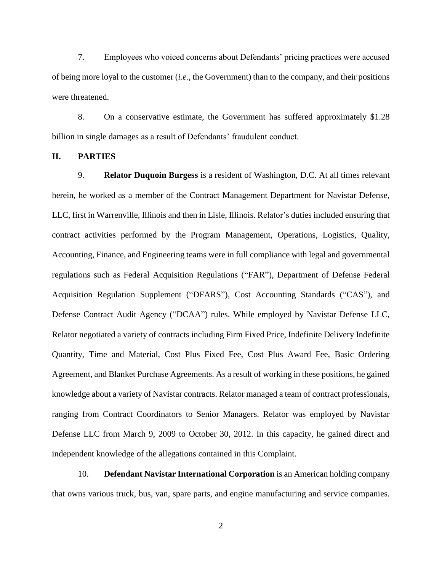7. Employees who voiced concerns about Defendants' pricing practices were accused of being more loyal to the customer (*i.e.*, the Government) than to the company, and their positions were threatened.

8. On a conservative estimate, the Government has suffered approximately \$1.28 billion in single damages as a result of Defendants' fraudulent conduct.

#### <span id="page-6-0"></span>**II. PARTIES**

9. **Relator Duquoin Burgess** is a resident of Washington, D.C. At all times relevant herein, he worked as a member of the Contract Management Department for Navistar Defense, LLC, first in Warrenville, Illinois and then in Lisle, Illinois. Relator's duties included ensuring that contract activities performed by the Program Management, Operations, Logistics, Quality, Accounting, Finance, and Engineering teams were in full compliance with legal and governmental regulations such as Federal Acquisition Regulations ("FAR"), Department of Defense Federal Acquisition Regulation Supplement ("DFARS"), Cost Accounting Standards ("CAS"), and Defense Contract Audit Agency ("DCAA") rules. While employed by Navistar Defense LLC, Relator negotiated a variety of contracts including Firm Fixed Price, Indefinite Delivery Indefinite Quantity, Time and Material, Cost Plus Fixed Fee, Cost Plus Award Fee, Basic Ordering Agreement, and Blanket Purchase Agreements. As a result of working in these positions, he gained knowledge about a variety of Navistar contracts. Relator managed a team of contract professionals, ranging from Contract Coordinators to Senior Managers. Relator was employed by Navistar Defense LLC from March 9, 2009 to October 30, 2012. In this capacity, he gained direct and independent knowledge of the allegations contained in this Complaint.

10. **Defendant Navistar International Corporation** is an American holding company that owns various truck, bus, van, spare parts, and engine manufacturing and service companies.

2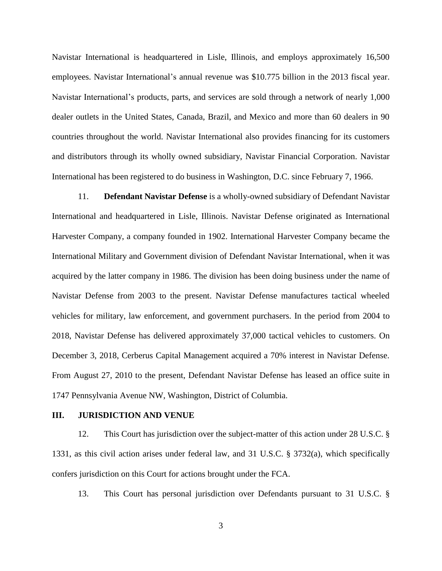Navistar International is headquartered in Lisle, Illinois, and employs approximately 16,500 employees. Navistar International's annual revenue was \$10.775 billion in the 2013 fiscal year. Navistar International's products, parts, and services are sold through a network of nearly 1,000 dealer outlets in the United States, Canada, Brazil, and Mexico and more than 60 dealers in 90 countries throughout the world. Navistar International also provides financing for its customers and distributors through its wholly owned subsidiary, Navistar Financial Corporation. Navistar International has been registered to do business in Washington, D.C. since February 7, 1966.

11. **Defendant Navistar Defense** is a wholly-owned subsidiary of Defendant Navistar International and headquartered in Lisle, Illinois. Navistar Defense originated as International Harvester Company, a company founded in 1902. International Harvester Company became the International Military and Government division of Defendant Navistar International, when it was acquired by the latter company in 1986. The division has been doing business under the name of Navistar Defense from 2003 to the present. Navistar Defense manufactures tactical wheeled vehicles for military, law enforcement, and government purchasers. In the period from 2004 to 2018, Navistar Defense has delivered approximately 37,000 tactical vehicles to customers. On December 3, 2018, Cerberus Capital Management acquired a 70% interest in Navistar Defense. From August 27, 2010 to the present, Defendant Navistar Defense has leased an office suite in 1747 Pennsylvania Avenue NW, Washington, District of Columbia.

#### <span id="page-7-0"></span>**III. JURISDICTION AND VENUE**

12. This Court has jurisdiction over the subject-matter of this action under 28 U.S.C. § 1331, as this civil action arises under federal law, and 31 U.S.C. § 3732(a), which specifically confers jurisdiction on this Court for actions brought under the FCA.

13. This Court has personal jurisdiction over Defendants pursuant to 31 U.S.C. §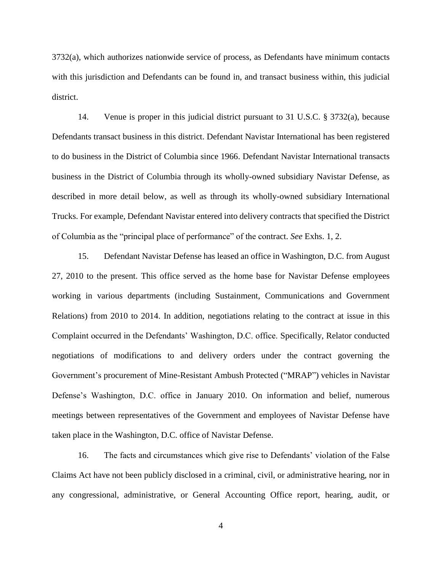3732(a), which authorizes nationwide service of process, as Defendants have minimum contacts with this jurisdiction and Defendants can be found in, and transact business within, this judicial district.

14. Venue is proper in this judicial district pursuant to 31 U.S.C. § 3732(a), because Defendants transact business in this district. Defendant Navistar International has been registered to do business in the District of Columbia since 1966. Defendant Navistar International transacts business in the District of Columbia through its wholly-owned subsidiary Navistar Defense, as described in more detail below, as well as through its wholly-owned subsidiary International Trucks. For example, Defendant Navistar entered into delivery contracts that specified the District of Columbia as the "principal place of performance" of the contract. *See* Exhs. 1, 2.

15. Defendant Navistar Defense has leased an office in Washington, D.C. from August 27, 2010 to the present. This office served as the home base for Navistar Defense employees working in various departments (including Sustainment, Communications and Government Relations) from 2010 to 2014. In addition, negotiations relating to the contract at issue in this Complaint occurred in the Defendants' Washington, D.C. office. Specifically, Relator conducted negotiations of modifications to and delivery orders under the contract governing the Government's procurement of Mine-Resistant Ambush Protected ("MRAP") vehicles in Navistar Defense's Washington, D.C. office in January 2010. On information and belief, numerous meetings between representatives of the Government and employees of Navistar Defense have taken place in the Washington, D.C. office of Navistar Defense.

16. The facts and circumstances which give rise to Defendants' violation of the False Claims Act have not been publicly disclosed in a criminal, civil, or administrative hearing, nor in any congressional, administrative, or General Accounting Office report, hearing, audit, or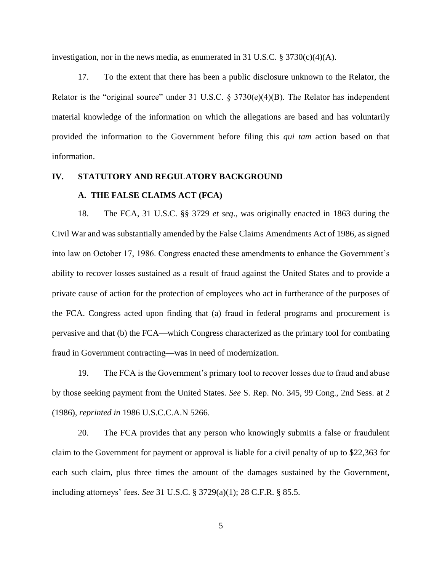investigation, nor in the news media, as enumerated in 31 U.S.C. § 3730(c)(4)(A).

17. To the extent that there has been a public disclosure unknown to the Relator, the Relator is the "original source" under 31 U.S.C. §  $3730(e)(4)(B)$ . The Relator has independent material knowledge of the information on which the allegations are based and has voluntarily provided the information to the Government before filing this *qui tam* action based on that information.

# <span id="page-9-1"></span><span id="page-9-0"></span>**IV. STATUTORY AND REGULATORY BACKGROUND**

# **A. THE FALSE CLAIMS ACT (FCA)**

18. The FCA, 31 U.S.C. §§ 3729 *et seq*., was originally enacted in 1863 during the Civil War and was substantially amended by the False Claims Amendments Act of 1986, as signed into law on October 17, 1986. Congress enacted these amendments to enhance the Government's ability to recover losses sustained as a result of fraud against the United States and to provide a private cause of action for the protection of employees who act in furtherance of the purposes of the FCA. Congress acted upon finding that (a) fraud in federal programs and procurement is pervasive and that (b) the FCA—which Congress characterized as the primary tool for combating fraud in Government contracting—was in need of modernization.

19. The FCA is the Government's primary tool to recover losses due to fraud and abuse by those seeking payment from the United States. *See* S. Rep. No. 345, 99 Cong., 2nd Sess. at 2 (1986), *reprinted in* 1986 U.S.C.C.A.N 5266.

20. The FCA provides that any person who knowingly submits a false or fraudulent claim to the Government for payment or approval is liable for a civil penalty of up to \$22,363 for each such claim, plus three times the amount of the damages sustained by the Government, including attorneys' fees. *See* 31 U.S.C. § 3729(a)(1); 28 C.F.R. § 85.5.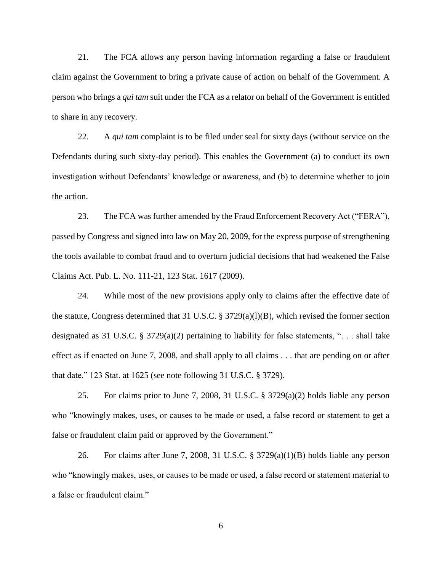21. The FCA allows any person having information regarding a false or fraudulent claim against the Government to bring a private cause of action on behalf of the Government. A person who brings a *qui tam* suit under the FCA as a relator on behalf of the Government is entitled to share in any recovery.

22. A *qui tam* complaint is to be filed under seal for sixty days (without service on the Defendants during such sixty-day period). This enables the Government (a) to conduct its own investigation without Defendants' knowledge or awareness, and (b) to determine whether to join the action.

23. The FCA was further amended by the Fraud Enforcement Recovery Act ("FERA"), passed by Congress and signed into law on May 20, 2009, for the express purpose of strengthening the tools available to combat fraud and to overturn judicial decisions that had weakened the False Claims Act. Pub. L. No. 111-21, 123 Stat. 1617 (2009).

24. While most of the new provisions apply only to claims after the effective date of the statute, Congress determined that 31 U.S.C. § 3729(a)(l)(B), which revised the former section designated as 31 U.S.C. § 3729(a)(2) pertaining to liability for false statements, ". . . shall take effect as if enacted on June 7, 2008, and shall apply to all claims . . . that are pending on or after that date." 123 Stat. at 1625 (see note following 31 U.S.C. § 3729).

25. For claims prior to June 7, 2008, 31 U.S.C. § 3729(a)(2) holds liable any person who "knowingly makes, uses, or causes to be made or used, a false record or statement to get a false or fraudulent claim paid or approved by the Government."

26. For claims after June 7, 2008, 31 U.S.C. § 3729(a)(1)(B) holds liable any person who "knowingly makes, uses, or causes to be made or used, a false record or statement material to a false or fraudulent claim."

6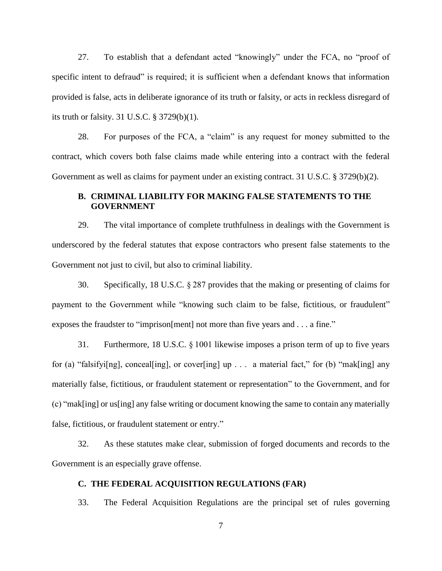27. To establish that a defendant acted "knowingly" under the FCA, no "proof of specific intent to defraud" is required; it is sufficient when a defendant knows that information provided is false, acts in deliberate ignorance of its truth or falsity, or acts in reckless disregard of its truth or falsity. 31 U.S.C. § 3729(b)(1).

28. For purposes of the FCA, a "claim" is any request for money submitted to the contract, which covers both false claims made while entering into a contract with the federal Government as well as claims for payment under an existing contract. 31 U.S.C. § 3729(b)(2).

# <span id="page-11-0"></span>**B. CRIMINAL LIABILITY FOR MAKING FALSE STATEMENTS TO THE GOVERNMENT**

29. The vital importance of complete truthfulness in dealings with the Government is underscored by the federal statutes that expose contractors who present false statements to the Government not just to civil, but also to criminal liability.

30. Specifically, 18 U.S.C. § 287 provides that the making or presenting of claims for payment to the Government while "knowing such claim to be false, fictitious, or fraudulent" exposes the fraudster to "imprison[ment] not more than five years and . . . a fine."

31. Furthermore, 18 U.S.C. § 1001 likewise imposes a prison term of up to five years for (a) "falsifyi[ng], conceal[ing], or cover[ing] up . . . a material fact," for (b) "mak[ing] any materially false, fictitious, or fraudulent statement or representation" to the Government, and for (c) "mak[ing] or us[ing] any false writing or document knowing the same to contain any materially false, fictitious, or fraudulent statement or entry."

32. As these statutes make clear, submission of forged documents and records to the Government is an especially grave offense.

# <span id="page-11-1"></span>**C. THE FEDERAL ACQUISITION REGULATIONS (FAR)**

33. The Federal Acquisition Regulations are the principal set of rules governing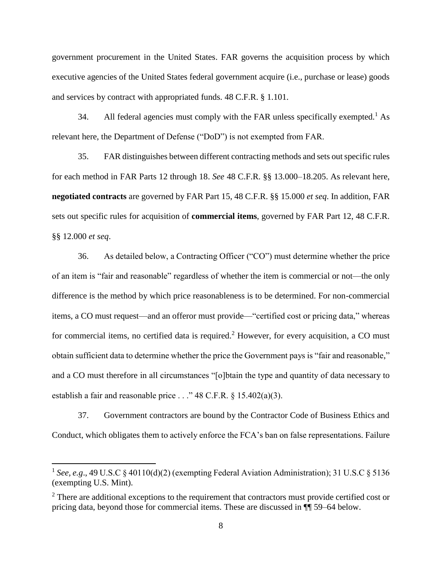government procurement in the United States. FAR governs the acquisition process by which executive agencies of the United States federal government acquire (i.e., purchase or lease) goods and services by contract with appropriated funds. 48 C.F.R. § 1.101.

34. All federal agencies must comply with the FAR unless specifically exempted.<sup>1</sup> As relevant here, the Department of Defense ("DoD") is not exempted from FAR.

35. FAR distinguishes between different contracting methods and sets out specific rules for each method in FAR Parts 12 through 18. *See* 48 C.F.R. §§ 13.000–18.205. As relevant here, **negotiated contracts** are governed by FAR Part 15, 48 C.F.R. §§ 15.000 *et seq*. In addition, FAR sets out specific rules for acquisition of **commercial items**, governed by FAR Part 12, 48 C.F.R. §§ 12.000 *et seq*.

36. As detailed below, a Contracting Officer ("CO") must determine whether the price of an item is "fair and reasonable" regardless of whether the item is commercial or not—the only difference is the method by which price reasonableness is to be determined. For non-commercial items, a CO must request—and an offeror must provide—"certified cost or pricing data," whereas for commercial items, no certified data is required.<sup>2</sup> However, for every acquisition, a CO must obtain sufficient data to determine whether the price the Government pays is "fair and reasonable," and a CO must therefore in all circumstances "[o]btain the type and quantity of data necessary to establish a fair and reasonable price . . ." 48 C.F.R. § 15.402(a)(3).

37. Government contractors are bound by the Contractor Code of Business Ethics and Conduct, which obligates them to actively enforce the FCA's ban on false representations. Failure

 $\overline{\phantom{a}}$ 

<sup>&</sup>lt;sup>1</sup> See, e.g., 49 U.S.C § 40110(d)(2) (exempting Federal Aviation Administration); 31 U.S.C § 5136 (exempting U.S. Mint).

<sup>&</sup>lt;sup>2</sup> There are additional exceptions to the requirement that contractors must provide certified cost or pricing data, beyond those for commercial items. These are discussed in ¶¶ 59–64 below.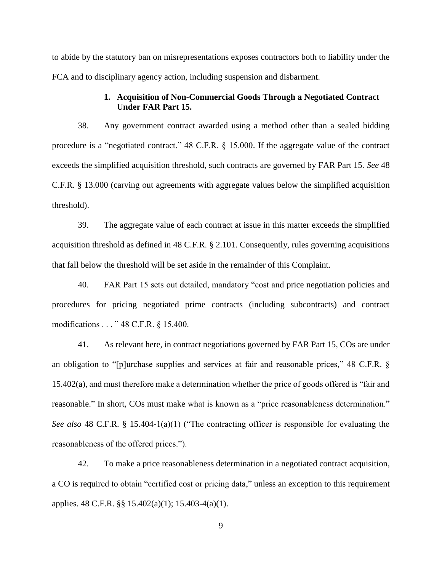to abide by the statutory ban on misrepresentations exposes contractors both to liability under the FCA and to disciplinary agency action, including suspension and disbarment.

# **1. Acquisition of Non-Commercial Goods Through a Negotiated Contract Under FAR Part 15.**

<span id="page-13-0"></span>38. Any government contract awarded using a method other than a sealed bidding procedure is a "negotiated contract." 48 C.F.R. § 15.000. If the aggregate value of the contract exceeds the simplified acquisition threshold, such contracts are governed by FAR Part 15. *See* 48 C.F.R. § 13.000 (carving out agreements with aggregate values below the simplified acquisition threshold).

39. The aggregate value of each contract at issue in this matter exceeds the simplified acquisition threshold as defined in 48 C.F.R. § 2.101. Consequently, rules governing acquisitions that fall below the threshold will be set aside in the remainder of this Complaint.

40. FAR Part 15 sets out detailed, mandatory "cost and price negotiation policies and procedures for pricing negotiated prime contracts (including subcontracts) and contract modifications . . . " 48 C.F.R. § 15.400.

41. As relevant here, in contract negotiations governed by FAR Part 15, COs are under an obligation to "[p]urchase supplies and services at fair and reasonable prices," 48 C.F.R. § 15.402(a), and must therefore make a determination whether the price of goods offered is "fair and reasonable." In short, COs must make what is known as a "price reasonableness determination." *See also* 48 C.F.R. § 15.404-1(a)(1) ("The contracting officer is responsible for evaluating the reasonableness of the offered prices.").

42. To make a price reasonableness determination in a negotiated contract acquisition, a CO is required to obtain "certified cost or pricing data," unless an exception to this requirement applies. 48 C.F.R. §§ 15.402(a)(1); 15.403-4(a)(1).

9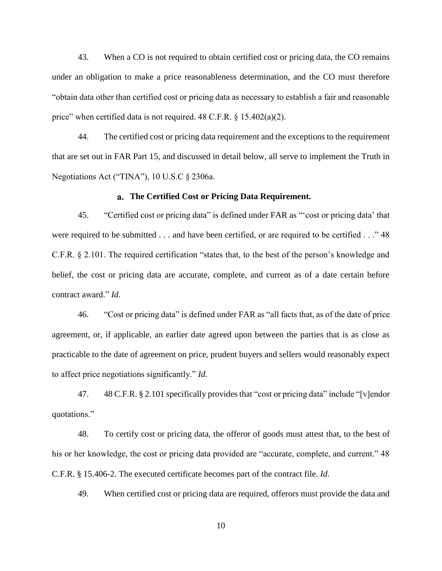43. When a CO is not required to obtain certified cost or pricing data, the CO remains under an obligation to make a price reasonableness determination, and the CO must therefore "obtain data other than certified cost or pricing data as necessary to establish a fair and reasonable price" when certified data is not required. 48 C.F.R. § 15.402(a)(2).

44. The certified cost or pricing data requirement and the exceptions to the requirement that are set out in FAR Part 15, and discussed in detail below, all serve to implement the Truth in Negotiations Act ("TINA"), 10 U.S.C § 2306a.

#### **The Certified Cost or Pricing Data Requirement.**

<span id="page-14-0"></span>45. "Certified cost or pricing data" is defined under FAR as "'cost or pricing data' that were required to be submitted . . . and have been certified, or are required to be certified . . ." 48 C.F.R. § 2.101. The required certification "states that, to the best of the person's knowledge and belief, the cost or pricing data are accurate, complete, and current as of a date certain before contract award." *Id*.

46. "Cost or pricing data" is defined under FAR as "all facts that, as of the date of price agreement, or, if applicable, an earlier date agreed upon between the parties that is as close as practicable to the date of agreement on price, prudent buyers and sellers would reasonably expect to affect price negotiations significantly." *Id*.

47. 48 C.F.R. § 2.101 specifically provides that "cost or pricing data" include "[v]endor quotations."

48. To certify cost or pricing data, the offeror of goods must attest that, to the best of his or her knowledge, the cost or pricing data provided are "accurate, complete, and current." 48 C.F.R. § 15.406-2. The executed certificate becomes part of the contract file. *Id*.

49. When certified cost or pricing data are required, offerors must provide the data and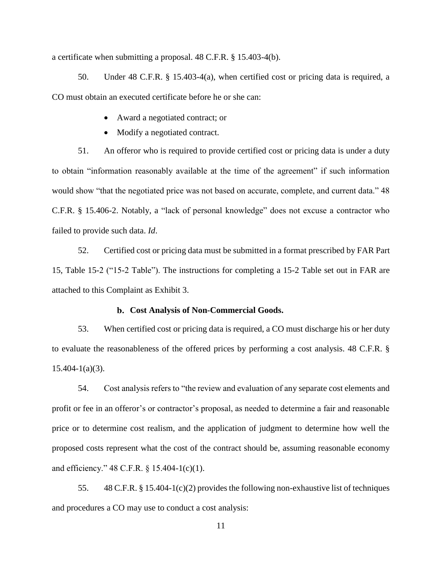a certificate when submitting a proposal. 48 C.F.R. § 15.403-4(b).

50. Under 48 C.F.R. § 15.403-4(a), when certified cost or pricing data is required, a CO must obtain an executed certificate before he or she can:

- Award a negotiated contract; or
- Modify a negotiated contract.

51. An offeror who is required to provide certified cost or pricing data is under a duty to obtain "information reasonably available at the time of the agreement" if such information would show "that the negotiated price was not based on accurate, complete, and current data." 48 C.F.R. § 15.406-2. Notably, a "lack of personal knowledge" does not excuse a contractor who failed to provide such data. *Id*.

52. Certified cost or pricing data must be submitted in a format prescribed by FAR Part 15, Table 15-2 ("15-2 Table"). The instructions for completing a 15-2 Table set out in FAR are attached to this Complaint as Exhibit 3.

## **Cost Analysis of Non-Commercial Goods.**

<span id="page-15-0"></span>53. When certified cost or pricing data is required, a CO must discharge his or her duty to evaluate the reasonableness of the offered prices by performing a cost analysis. 48 C.F.R. §  $15.404 - 1(a)(3)$ .

54. Cost analysis refers to "the review and evaluation of any separate cost elements and profit or fee in an offeror's or contractor's proposal, as needed to determine a fair and reasonable price or to determine cost realism, and the application of judgment to determine how well the proposed costs represent what the cost of the contract should be, assuming reasonable economy and efficiency." 48 C.F.R. § 15.404-1(c)(1).

55. 48 C.F.R. § 15.404-1(c)(2) provides the following non-exhaustive list of techniques and procedures a CO may use to conduct a cost analysis: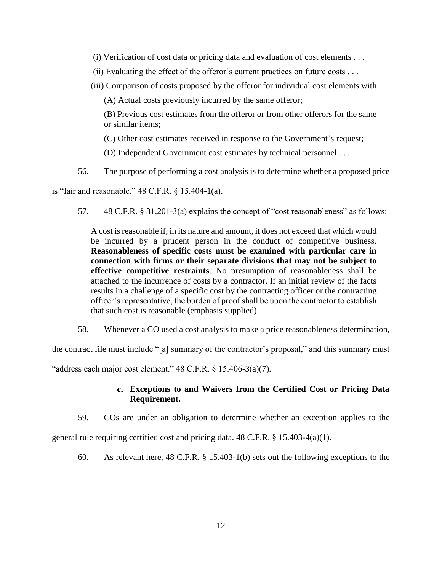- (i) Verification of cost data or pricing data and evaluation of cost elements  $\dots$
- (ii) Evaluating the effect of the offeror's current practices on future costs  $\dots$
- (iii) Comparison of costs proposed by the offeror for individual cost elements with

(A) Actual costs previously incurred by the same offeror;

(B) Previous cost estimates from the offeror or from other offerors for the same or similar items;

(C) Other cost estimates received in response to the Government's request;

(D) Independent Government cost estimates by technical personnel . . .

56. The purpose of performing a cost analysis is to determine whether a proposed price

is "fair and reasonable." 48 C.F.R. § 15.404-1(a).

57. 48 C.F.R. § 31.201-3(a) explains the concept of "cost reasonableness" as follows:

A cost is reasonable if, in its nature and amount, it does not exceed that which would be incurred by a prudent person in the conduct of competitive business. **Reasonableness of specific costs must be examined with particular care in connection with firms or their separate divisions that may not be subject to effective competitive restraints**. No presumption of reasonableness shall be attached to the incurrence of costs by a contractor. If an initial review of the facts results in a challenge of a specific cost by the contracting officer or the contracting officer's representative, the burden of proof shall be upon the contractor to establish that such cost is reasonable (emphasis supplied).

58. Whenever a CO used a cost analysis to make a price reasonableness determination,

the contract file must include "[a] summary of the contractor's proposal," and this summary must

<span id="page-16-0"></span>"address each major cost element."  $48$  C.F.R.  $\frac{6}{5}$  15.406-3(a)(7).

# **Exceptions to and Waivers from the Certified Cost or Pricing Data Requirement.**

59. COs are under an obligation to determine whether an exception applies to the

general rule requiring certified cost and pricing data.  $48 \text{ C.F.R.}$  §  $15.403-4(a)(1)$ .

60. As relevant here, 48 C.F.R. § 15.403-1(b) sets out the following exceptions to the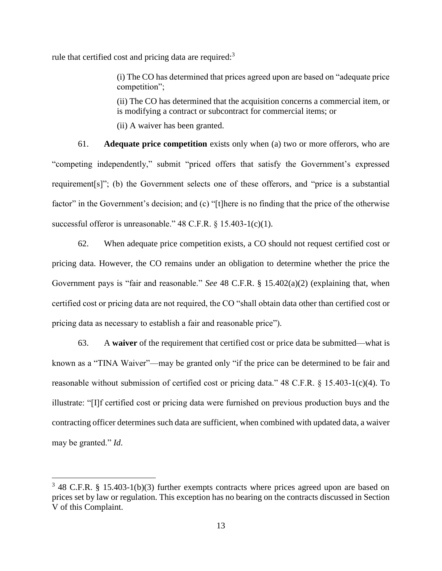rule that certified cost and pricing data are required:<sup>3</sup>

(i) The CO has determined that prices agreed upon are based on "adequate price competition";

(ii) The CO has determined that the acquisition concerns a commercial item, or is modifying a contract or subcontract for commercial items; or

(ii) A waiver has been granted.

61. **Adequate price competition** exists only when (a) two or more offerors, who are "competing independently," submit "priced offers that satisfy the Government's expressed requirement[s]"; (b) the Government selects one of these offerors, and "price is a substantial factor" in the Government's decision; and (c) "[t]here is no finding that the price of the otherwise successful offeror is unreasonable." 48 C.F.R. § 15.403-1(c)(1).

62. When adequate price competition exists, a CO should not request certified cost or pricing data. However, the CO remains under an obligation to determine whether the price the Government pays is "fair and reasonable." *See* 48 C.F.R. § 15.402(a)(2) (explaining that, when certified cost or pricing data are not required, the CO "shall obtain data other than certified cost or pricing data as necessary to establish a fair and reasonable price").

63. A **waiver** of the requirement that certified cost or price data be submitted—what is known as a "TINA Waiver"—may be granted only "if the price can be determined to be fair and reasonable without submission of certified cost or pricing data." 48 C.F.R. § 15.403-1(c)(4). To illustrate: "[I]f certified cost or pricing data were furnished on previous production buys and the contracting officer determines such data are sufficient, when combined with updated data, a waiver may be granted." *Id*.

 $\overline{\phantom{a}}$ 

 $3$  48 C.F.R. § 15.403-1(b)(3) further exempts contracts where prices agreed upon are based on prices set by law or regulation. This exception has no bearing on the contracts discussed in Section V of this Complaint.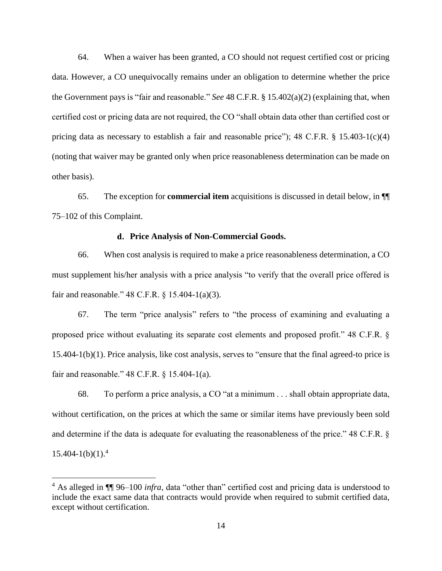64. When a waiver has been granted, a CO should not request certified cost or pricing data. However, a CO unequivocally remains under an obligation to determine whether the price the Government pays is "fair and reasonable." *See* 48 C.F.R. § 15.402(a)(2) (explaining that, when certified cost or pricing data are not required, the CO "shall obtain data other than certified cost or pricing data as necessary to establish a fair and reasonable price"); 48 C.F.R. § 15.403-1(c)(4) (noting that waiver may be granted only when price reasonableness determination can be made on other basis).

65. The exception for **commercial item** acquisitions is discussed in detail below, in ¶¶ 75–102 of this Complaint.

#### **Price Analysis of Non-Commercial Goods.**

<span id="page-18-0"></span>66. When cost analysis is required to make a price reasonableness determination, a CO must supplement his/her analysis with a price analysis "to verify that the overall price offered is fair and reasonable." 48 C.F.R. § 15.404-1(a)(3).

67. The term "price analysis" refers to "the process of examining and evaluating a proposed price without evaluating its separate cost elements and proposed profit." 48 C.F.R. § 15.404-1(b)(1). Price analysis, like cost analysis, serves to "ensure that the final agreed-to price is fair and reasonable." 48 C.F.R. § 15.404-1(a).

68. To perform a price analysis, a CO "at a minimum . . . shall obtain appropriate data, without certification, on the prices at which the same or similar items have previously been sold and determine if the data is adequate for evaluating the reasonableness of the price." 48 C.F.R. §  $15.404 - 1(b)(1)$ .<sup>4</sup>

 $\overline{\phantom{a}}$ 

<sup>4</sup> As alleged in ¶¶ 96–100 *infra*, data "other than" certified cost and pricing data is understood to include the exact same data that contracts would provide when required to submit certified data, except without certification.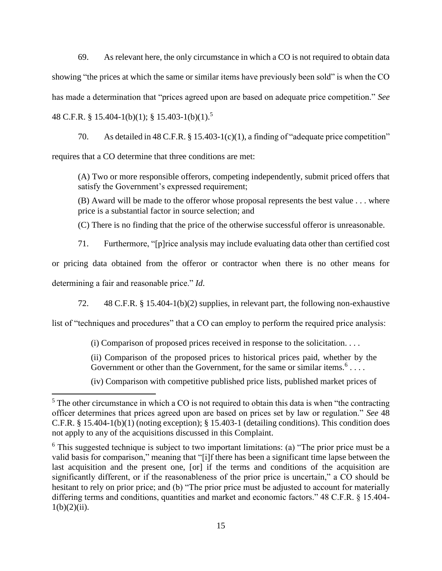69. As relevant here, the only circumstance in which a CO is not required to obtain data showing "the prices at which the same or similar items have previously been sold" is when the CO has made a determination that "prices agreed upon are based on adequate price competition." *See* 48 C.F.R. § 15.404-1(b)(1); § 15.403-1(b)(1).<sup>5</sup>

70. As detailed in 48 C.F.R. § 15.403-1(c)(1), a finding of "adequate price competition" requires that a CO determine that three conditions are met:

(A) Two or more responsible offerors, competing independently, submit priced offers that satisfy the Government's expressed requirement;

(B) Award will be made to the offeror whose proposal represents the best value . . . where price is a substantial factor in source selection; and

(C) There is no finding that the price of the otherwise successful offeror is unreasonable.

71. Furthermore, "[p]rice analysis may include evaluating data other than certified cost

or pricing data obtained from the offeror or contractor when there is no other means for determining a fair and reasonable price." *Id*.

72. 48 C.F.R. § 15.404-1(b)(2) supplies, in relevant part, the following non-exhaustive

list of "techniques and procedures" that a CO can employ to perform the required price analysis:

(i) Comparison of proposed prices received in response to the solicitation. . . .

(ii) Comparison of the proposed prices to historical prices paid, whether by the Government or other than the Government, for the same or similar items.<sup>6</sup>....

(iv) Comparison with competitive published price lists, published market prices of

 $\overline{a}$ 

 $5$  The other circumstance in which a CO is not required to obtain this data is when "the contracting officer determines that prices agreed upon are based on prices set by law or regulation." *See* 48 C.F.R. § 15.404-1(b)(1) (noting exception); § 15.403-1 (detailing conditions). This condition does not apply to any of the acquisitions discussed in this Complaint.

<sup>&</sup>lt;sup>6</sup> This suggested technique is subject to two important limitations: (a) "The prior price must be a valid basis for comparison," meaning that "[i]f there has been a significant time lapse between the last acquisition and the present one, [or] if the terms and conditions of the acquisition are significantly different, or if the reasonableness of the prior price is uncertain," a CO should be hesitant to rely on prior price; and (b) "The prior price must be adjusted to account for materially differing terms and conditions, quantities and market and economic factors." 48 C.F.R. § 15.404-  $1(b)(2)(ii)$ .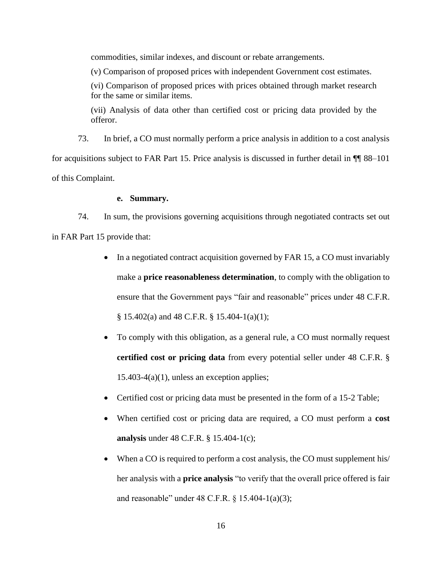commodities, similar indexes, and discount or rebate arrangements.

(v) Comparison of proposed prices with independent Government cost estimates.

(vi) Comparison of proposed prices with prices obtained through market research for the same or similar items.

(vii) Analysis of data other than certified cost or pricing data provided by the offeror.

73. In brief, a CO must normally perform a price analysis in addition to a cost analysis for acquisitions subject to FAR Part 15. Price analysis is discussed in further detail in ¶¶ 88–101 of this Complaint.

## **e. Summary.**

<span id="page-20-0"></span>74. In sum, the provisions governing acquisitions through negotiated contracts set out in FAR Part 15 provide that:

- In a negotiated contract acquisition governed by FAR 15, a CO must invariably make a **price reasonableness determination**, to comply with the obligation to ensure that the Government pays "fair and reasonable" prices under 48 C.F.R. § 15.402(a) and 48 C.F.R. § 15.404-1(a)(1);
- To comply with this obligation, as a general rule, a CO must normally request **certified cost or pricing data** from every potential seller under 48 C.F.R. §  $15.403-4(a)(1)$ , unless an exception applies;
- Certified cost or pricing data must be presented in the form of a 15-2 Table;
- When certified cost or pricing data are required, a CO must perform a **cost analysis** under 48 C.F.R. § 15.404-1(c);
- When a CO is required to perform a cost analysis, the CO must supplement his/ her analysis with a **price analysis** "to verify that the overall price offered is fair and reasonable" under 48 C.F.R. § 15.404-1(a)(3);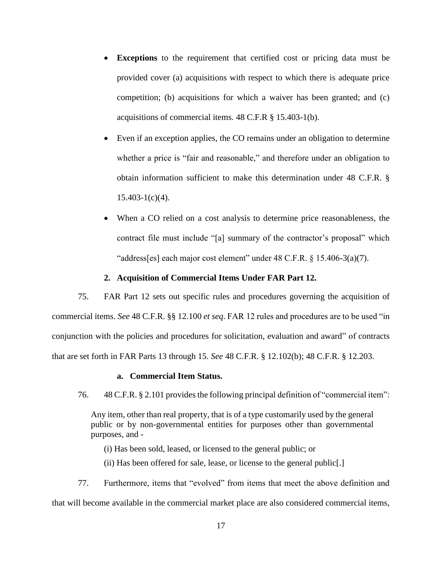- **Exceptions** to the requirement that certified cost or pricing data must be provided cover (a) acquisitions with respect to which there is adequate price competition; (b) acquisitions for which a waiver has been granted; and (c) acquisitions of commercial items. 48 C.F.R § 15.403-1(b).
- Even if an exception applies, the CO remains under an obligation to determine whether a price is "fair and reasonable," and therefore under an obligation to obtain information sufficient to make this determination under 48 C.F.R. §  $15.403 - 1(c)(4)$ .
- When a CO relied on a cost analysis to determine price reasonableness, the contract file must include "[a] summary of the contractor's proposal" which "address[es] each major cost element" under 48 C.F.R. § 15.406-3(a)(7).

## **2. Acquisition of Commercial Items Under FAR Part 12.**

<span id="page-21-0"></span>75. FAR Part 12 sets out specific rules and procedures governing the acquisition of commercial items. *See* 48 C.F.R. §§ 12.100 *et seq*. FAR 12 rules and procedures are to be used "in conjunction with the policies and procedures for solicitation, evaluation and award" of contracts that are set forth in FAR Parts 13 through 15. *See* 48 C.F.R. § 12.102(b); 48 C.F.R. § 12.203.

#### **a. Commercial Item Status.**

<span id="page-21-1"></span>76. 48 C.F.R. § 2.101 provides the following principal definition of "commercial item":

Any item, other than real property, that is of a type customarily used by the general public or by non-governmental entities for purposes other than governmental purposes, and -

(i) Has been sold, leased, or licensed to the general public; or

(ii) Has been offered for sale, lease, or license to the general public[.]

77. Furthermore, items that "evolved" from items that meet the above definition and that will become available in the commercial market place are also considered commercial items,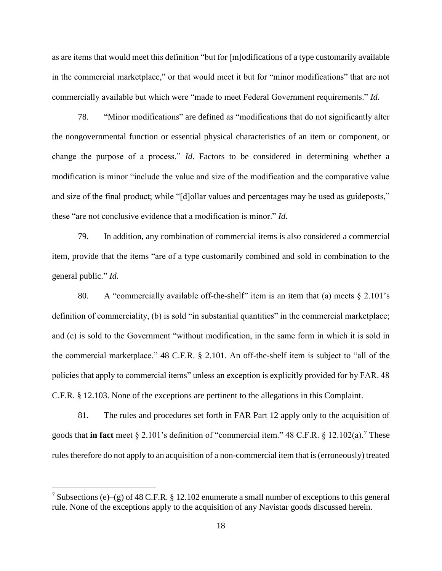as are items that would meet this definition "but for [m]odifications of a type customarily available in the commercial marketplace," or that would meet it but for "minor modifications" that are not commercially available but which were "made to meet Federal Government requirements." *Id*.

78. "Minor modifications" are defined as "modifications that do not significantly alter the nongovernmental function or essential physical characteristics of an item or component, or change the purpose of a process." *Id*. Factors to be considered in determining whether a modification is minor "include the value and size of the modification and the comparative value and size of the final product; while "[d]ollar values and percentages may be used as guideposts," these "are not conclusive evidence that a modification is minor." *Id*.

79. In addition, any combination of commercial items is also considered a commercial item, provide that the items "are of a type customarily combined and sold in combination to the general public." *Id*.

80. A "commercially available off-the-shelf" item is an item that (a) meets  $\S 2.101$ 's definition of commerciality, (b) is sold "in substantial quantities" in the commercial marketplace; and (c) is sold to the Government "without modification, in the same form in which it is sold in the commercial marketplace." 48 C.F.R. § 2.101. An off-the-shelf item is subject to "all of the policies that apply to commercial items" unless an exception is explicitly provided for by FAR. 48 C.F.R. § 12.103. None of the exceptions are pertinent to the allegations in this Complaint.

81. The rules and procedures set forth in FAR Part 12 apply only to the acquisition of goods that **in fact** meet § 2.101's definition of "commercial item." 48 C.F.R. § 12.102(a).<sup>7</sup> These rules therefore do not apply to an acquisition of a non-commercial item that is (erroneously) treated

 $\overline{\phantom{a}}$ 

<sup>&</sup>lt;sup>7</sup> Subsections (e)–(g) of 48 C.F.R. § 12.102 enumerate a small number of exceptions to this general rule. None of the exceptions apply to the acquisition of any Navistar goods discussed herein.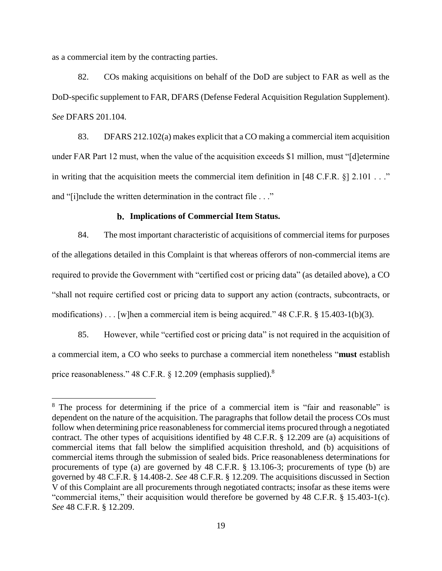as a commercial item by the contracting parties.

 $\overline{a}$ 

82. COs making acquisitions on behalf of the DoD are subject to FAR as well as the DoD-specific supplement to FAR, DFARS (Defense Federal Acquisition Regulation Supplement). *See* DFARS 201.104.

83. DFARS 212.102(a) makes explicit that a CO making a commercial item acquisition under FAR Part 12 must, when the value of the acquisition exceeds \$1 million, must "[d]etermine in writing that the acquisition meets the commercial item definition in [48 C.F.R. §] 2.101 . . ." and "[i]nclude the written determination in the contract file . . ."

#### **Implications of Commercial Item Status.**

<span id="page-23-0"></span>84. The most important characteristic of acquisitions of commercial items for purposes of the allegations detailed in this Complaint is that whereas offerors of non-commercial items are required to provide the Government with "certified cost or pricing data" (as detailed above), a CO "shall not require certified cost or pricing data to support any action (contracts, subcontracts, or modifications)... [w]hen a commercial item is being acquired." 48 C.F.R. § 15.403-1(b)(3).

85. However, while "certified cost or pricing data" is not required in the acquisition of a commercial item, a CO who seeks to purchase a commercial item nonetheless "**must** establish price reasonableness." 48 C.F.R. § 12.209 (emphasis supplied).<sup>8</sup>

<sup>&</sup>lt;sup>8</sup> The process for determining if the price of a commercial item is "fair and reasonable" is dependent on the nature of the acquisition. The paragraphs that follow detail the process COs must follow when determining price reasonableness for commercial items procured through a negotiated contract. The other types of acquisitions identified by 48 C.F.R. § 12.209 are (a) acquisitions of commercial items that fall below the simplified acquisition threshold, and (b) acquisitions of commercial items through the submission of sealed bids. Price reasonableness determinations for procurements of type (a) are governed by 48 C.F.R. § 13.106-3; procurements of type (b) are governed by 48 C.F.R. § 14.408-2. *See* 48 C.F.R. § 12.209. The acquisitions discussed in Section V of this Complaint are all procurements through negotiated contracts; insofar as these items were "commercial items," their acquisition would therefore be governed by 48 C.F.R. § 15.403-1(c). *See* 48 C.F.R. § 12.209.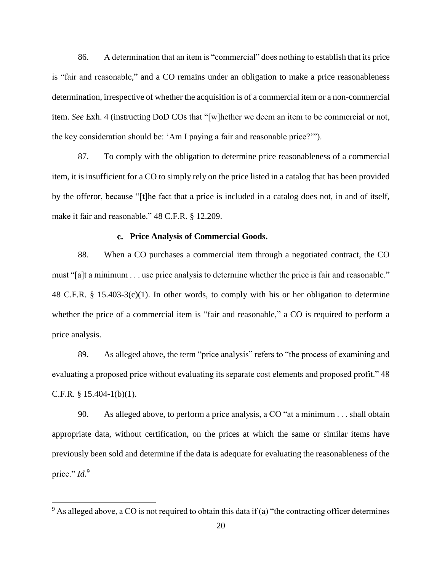86. A determination that an item is "commercial" does nothing to establish that its price is "fair and reasonable," and a CO remains under an obligation to make a price reasonableness determination, irrespective of whether the acquisition is of a commercial item or a non-commercial item. *See* Exh. 4 (instructing DoD COs that "[w]hether we deem an item to be commercial or not, the key consideration should be: 'Am I paying a fair and reasonable price?'").

87. To comply with the obligation to determine price reasonableness of a commercial item, it is insufficient for a CO to simply rely on the price listed in a catalog that has been provided by the offeror, because "[t]he fact that a price is included in a catalog does not, in and of itself, make it fair and reasonable." 48 C.F.R. § 12.209.

## **Price Analysis of Commercial Goods.**

<span id="page-24-0"></span>88. When a CO purchases a commercial item through a negotiated contract, the CO must "[a]t a minimum . . . use price analysis to determine whether the price is fair and reasonable." 48 C.F.R. § 15.403-3(c)(1). In other words, to comply with his or her obligation to determine whether the price of a commercial item is "fair and reasonable," a CO is required to perform a price analysis.

89. As alleged above, the term "price analysis" refers to "the process of examining and evaluating a proposed price without evaluating its separate cost elements and proposed profit." 48 C.F.R. § 15.404-1(b)(1).

90. As alleged above, to perform a price analysis, a CO "at a minimum . . . shall obtain appropriate data, without certification, on the prices at which the same or similar items have previously been sold and determine if the data is adequate for evaluating the reasonableness of the price." *Id*.<sup>9</sup>

l

 $9$  As alleged above, a CO is not required to obtain this data if (a) "the contracting officer determines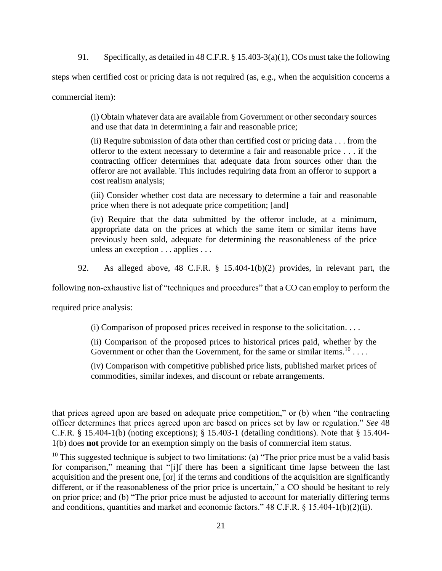91. Specifically, as detailed in 48 C.F.R. § 15.403-3(a)(1), COs must take the following

steps when certified cost or pricing data is not required (as, e.g., when the acquisition concerns a

commercial item):

(i) Obtain whatever data are available from Government or other secondary sources and use that data in determining a fair and reasonable price;

(ii) Require submission of data other than certified cost or pricing data . . . from the offeror to the extent necessary to determine a fair and reasonable price . . . if the contracting officer determines that adequate data from sources other than the offeror are not available. This includes requiring data from an offeror to support a cost realism analysis;

(iii) Consider whether cost data are necessary to determine a fair and reasonable price when there is not adequate price competition; [and]

(iv) Require that the data submitted by the offeror include, at a minimum, appropriate data on the prices at which the same item or similar items have previously been sold, adequate for determining the reasonableness of the price unless an exception . . . applies . . .

92. As alleged above, 48 C.F.R. § 15.404-1(b)(2) provides, in relevant part, the

following non-exhaustive list of "techniques and procedures" that a CO can employ to perform the

required price analysis:

 $\overline{a}$ 

(i) Comparison of proposed prices received in response to the solicitation. . . .

(ii) Comparison of the proposed prices to historical prices paid, whether by the Government or other than the Government, for the same or similar items.<sup>10</sup>...

(iv) Comparison with competitive published price lists, published market prices of commodities, similar indexes, and discount or rebate arrangements.

that prices agreed upon are based on adequate price competition," or (b) when "the contracting officer determines that prices agreed upon are based on prices set by law or regulation." *See* 48 C.F.R. § 15.404-1(b) (noting exceptions); § 15.403-1 (detailing conditions). Note that § 15.404- 1(b) does **not** provide for an exemption simply on the basis of commercial item status.

 $10$  This suggested technique is subject to two limitations: (a) "The prior price must be a valid basis for comparison," meaning that "[i]f there has been a significant time lapse between the last acquisition and the present one, [or] if the terms and conditions of the acquisition are significantly different, or if the reasonableness of the prior price is uncertain," a CO should be hesitant to rely on prior price; and (b) "The prior price must be adjusted to account for materially differing terms and conditions, quantities and market and economic factors." 48 C.F.R. § 15.404-1(b)(2)(ii).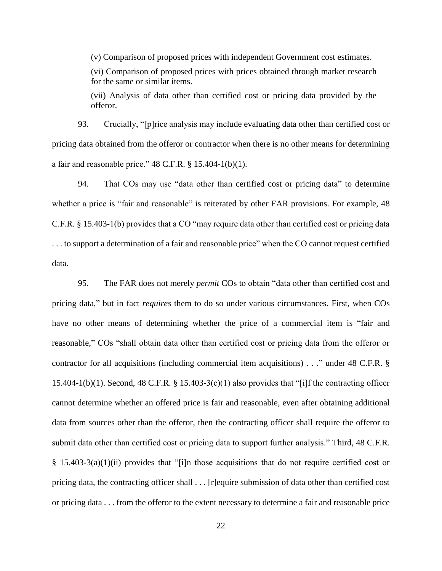(v) Comparison of proposed prices with independent Government cost estimates. (vi) Comparison of proposed prices with prices obtained through market research for the same or similar items. (vii) Analysis of data other than certified cost or pricing data provided by the

offeror.

93. Crucially, "[p]rice analysis may include evaluating data other than certified cost or pricing data obtained from the offeror or contractor when there is no other means for determining a fair and reasonable price."  $48$  C.F.R. § 15.404-1(b)(1).

94. That COs may use "data other than certified cost or pricing data" to determine whether a price is "fair and reasonable" is reiterated by other FAR provisions. For example, 48 C.F.R. § 15.403-1(b) provides that a CO "may require data other than certified cost or pricing data . . . to support a determination of a fair and reasonable price" when the CO cannot request certified data.

95. The FAR does not merely *permit* COs to obtain "data other than certified cost and pricing data," but in fact *requires* them to do so under various circumstances. First, when COs have no other means of determining whether the price of a commercial item is "fair and reasonable," COs "shall obtain data other than certified cost or pricing data from the offeror or contractor for all acquisitions (including commercial item acquisitions) . . ." under 48 C.F.R. § 15.404-1(b)(1). Second, 48 C.F.R. § 15.403-3(c)(1) also provides that "[i]f the contracting officer cannot determine whether an offered price is fair and reasonable, even after obtaining additional data from sources other than the offeror, then the contracting officer shall require the offeror to submit data other than certified cost or pricing data to support further analysis." Third, 48 C.F.R.  $\S$  15.403-3(a)(1)(ii) provides that "[i]n those acquisitions that do not require certified cost or pricing data, the contracting officer shall . . . [r]equire submission of data other than certified cost or pricing data . . . from the offeror to the extent necessary to determine a fair and reasonable price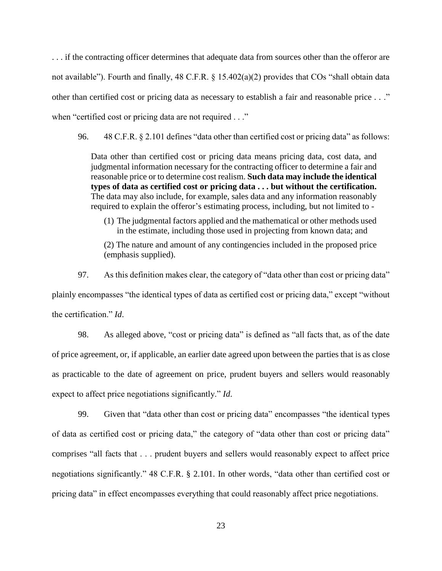. . . if the contracting officer determines that adequate data from sources other than the offeror are not available"). Fourth and finally, 48 C.F.R. § 15.402(a)(2) provides that COs "shall obtain data other than certified cost or pricing data as necessary to establish a fair and reasonable price . . ." when "certified cost or pricing data are not required . . ."

96. 48 C.F.R. § 2.101 defines "data other than certified cost or pricing data" as follows:

Data other than certified cost or pricing data means pricing data, cost data, and judgmental information necessary for the contracting officer to determine a fair and reasonable price or to determine cost realism. **Such data may include the identical types of data as certified cost or pricing data . . . but without the certification.** The data may also include, for example, sales data and any information reasonably required to explain the offeror's estimating process, including, but not limited to -

(1) The judgmental factors applied and the mathematical or other methods used in the estimate, including those used in projecting from known data; and

(2) The nature and amount of any contingencies included in the proposed price (emphasis supplied).

97. As this definition makes clear, the category of "data other than cost or pricing data" plainly encompasses "the identical types of data as certified cost or pricing data," except "without the certification." *Id*.

98. As alleged above, "cost or pricing data" is defined as "all facts that, as of the date of price agreement, or, if applicable, an earlier date agreed upon between the parties that is as close as practicable to the date of agreement on price, prudent buyers and sellers would reasonably expect to affect price negotiations significantly." *Id*.

99. Given that "data other than cost or pricing data" encompasses "the identical types of data as certified cost or pricing data," the category of "data other than cost or pricing data" comprises "all facts that . . . prudent buyers and sellers would reasonably expect to affect price negotiations significantly." 48 C.F.R. § 2.101. In other words, "data other than certified cost or pricing data" in effect encompasses everything that could reasonably affect price negotiations.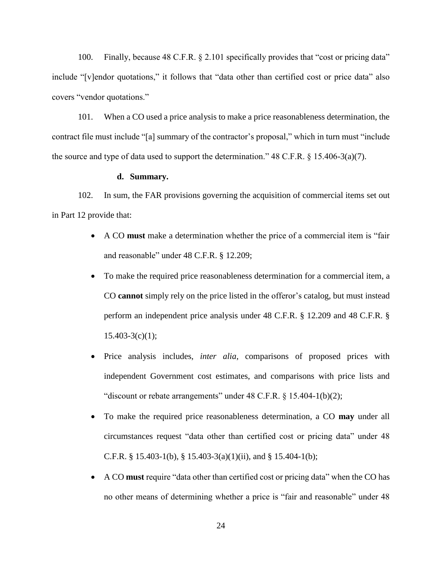100. Finally, because 48 C.F.R. § 2.101 specifically provides that "cost or pricing data" include "[v]endor quotations," it follows that "data other than certified cost or price data" also covers "vendor quotations."

101. When a CO used a price analysis to make a price reasonableness determination, the contract file must include "[a] summary of the contractor's proposal," which in turn must "include the source and type of data used to support the determination."  $48$  C.F.R. § 15.406-3(a)(7).

#### **d. Summary.**

<span id="page-28-0"></span>102. In sum, the FAR provisions governing the acquisition of commercial items set out in Part 12 provide that:

- A CO **must** make a determination whether the price of a commercial item is "fair and reasonable" under 48 C.F.R. § 12.209;
- To make the required price reasonableness determination for a commercial item, a CO **cannot** simply rely on the price listed in the offeror's catalog, but must instead perform an independent price analysis under 48 C.F.R. § 12.209 and 48 C.F.R. §  $15.403-3(c)(1);$
- Price analysis includes, *inter alia*, comparisons of proposed prices with independent Government cost estimates, and comparisons with price lists and "discount or rebate arrangements" under 48 C.F.R. § 15.404-1(b)(2);
- To make the required price reasonableness determination, a CO **may** under all circumstances request "data other than certified cost or pricing data" under 48 C.F.R. § 15.403-1(b), § 15.403-3(a)(1)(ii), and § 15.404-1(b);
- A CO **must** require "data other than certified cost or pricing data" when the CO has no other means of determining whether a price is "fair and reasonable" under 48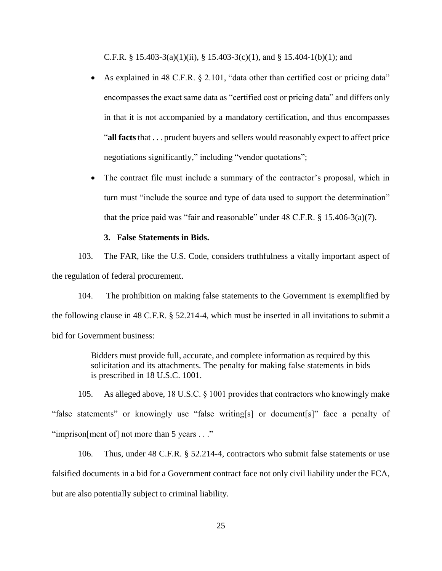C.F.R. § 15.403-3(a)(1)(ii), § 15.403-3(c)(1), and § 15.404-1(b)(1); and

- As explained in 48 C.F.R. § 2.101, "data other than certified cost or pricing data" encompasses the exact same data as "certified cost or pricing data" and differs only in that it is not accompanied by a mandatory certification, and thus encompasses "**all facts** that . . . prudent buyers and sellers would reasonably expect to affect price negotiations significantly," including "vendor quotations";
- The contract file must include a summary of the contractor's proposal, which in turn must "include the source and type of data used to support the determination" that the price paid was "fair and reasonable" under  $48 \text{ C.F.R. }$  §  $15.406-3(a)(7)$ .

## **3. False Statements in Bids.**

<span id="page-29-0"></span>103. The FAR, like the U.S. Code, considers truthfulness a vitally important aspect of the regulation of federal procurement.

104. The prohibition on making false statements to the Government is exemplified by the following clause in 48 C.F.R. § 52.214-4, which must be inserted in all invitations to submit a bid for Government business:

> Bidders must provide full, accurate, and complete information as required by this solicitation and its attachments. The penalty for making false statements in bids is prescribed in 18 U.S.C. 1001.

105. As alleged above, 18 U.S.C. § 1001 provides that contractors who knowingly make "false statements" or knowingly use "false writing[s] or document[s]" face a penalty of "imprison[ment of] not more than 5 years . . ."

106. Thus, under 48 C.F.R. § 52.214-4, contractors who submit false statements or use falsified documents in a bid for a Government contract face not only civil liability under the FCA, but are also potentially subject to criminal liability.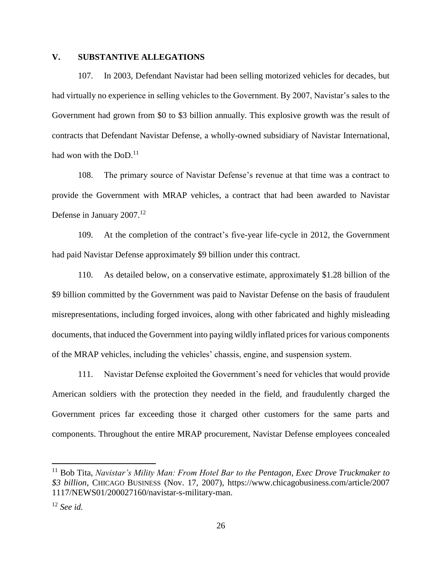# <span id="page-30-0"></span>**V. SUBSTANTIVE ALLEGATIONS**

107. In 2003, Defendant Navistar had been selling motorized vehicles for decades, but had virtually no experience in selling vehicles to the Government. By 2007, Navistar's sales to the Government had grown from \$0 to \$3 billion annually. This explosive growth was the result of contracts that Defendant Navistar Defense, a wholly-owned subsidiary of Navistar International, had won with the  $DoD.<sup>11</sup>$ 

108. The primary source of Navistar Defense's revenue at that time was a contract to provide the Government with MRAP vehicles, a contract that had been awarded to Navistar Defense in January 2007.<sup>12</sup>

109. At the completion of the contract's five-year life-cycle in 2012, the Government had paid Navistar Defense approximately \$9 billion under this contract.

110. As detailed below, on a conservative estimate, approximately \$1.28 billion of the \$9 billion committed by the Government was paid to Navistar Defense on the basis of fraudulent misrepresentations, including forged invoices, along with other fabricated and highly misleading documents, that induced the Government into paying wildly inflated prices for various components of the MRAP vehicles, including the vehicles' chassis, engine, and suspension system.

111. Navistar Defense exploited the Government's need for vehicles that would provide American soldiers with the protection they needed in the field, and fraudulently charged the Government prices far exceeding those it charged other customers for the same parts and components. Throughout the entire MRAP procurement, Navistar Defense employees concealed

 $\overline{\phantom{a}}$ 

<sup>11</sup> Bob Tita, *Navistar's Mility Man: From Hotel Bar to the Pentagon, Exec Drove Truckmaker to \$3 billion*, CHICAGO BUSINESS (Nov. 17, 2007), [https://www.chicagobusiness.com/article/2007](https://www.chicagobusiness.com/article/20071117/NEWS01/200027160/navistar-s-military-man) [1117/NEWS01/200027160/navistar-s-military-man.](https://www.chicagobusiness.com/article/20071117/NEWS01/200027160/navistar-s-military-man)

<sup>12</sup> *See id.*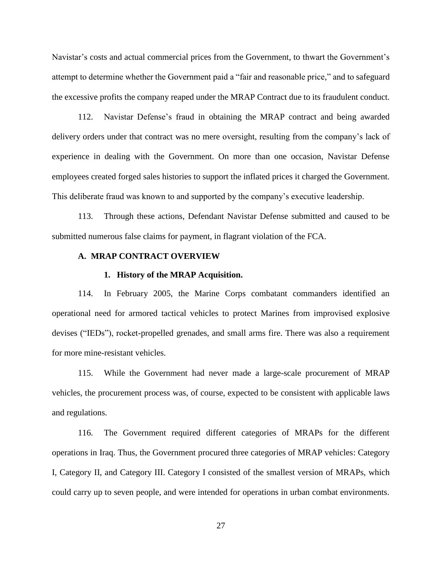Navistar's costs and actual commercial prices from the Government, to thwart the Government's attempt to determine whether the Government paid a "fair and reasonable price," and to safeguard the excessive profits the company reaped under the MRAP Contract due to its fraudulent conduct.

112. Navistar Defense's fraud in obtaining the MRAP contract and being awarded delivery orders under that contract was no mere oversight, resulting from the company's lack of experience in dealing with the Government. On more than one occasion, Navistar Defense employees created forged sales histories to support the inflated prices it charged the Government. This deliberate fraud was known to and supported by the company's executive leadership.

113. Through these actions, Defendant Navistar Defense submitted and caused to be submitted numerous false claims for payment, in flagrant violation of the FCA.

## <span id="page-31-0"></span>**A. MRAP CONTRACT OVERVIEW**

#### **1. History of the MRAP Acquisition.**

<span id="page-31-1"></span>114. In February 2005, the Marine Corps combatant commanders identified an operational need for armored tactical vehicles to protect Marines from improvised explosive devises ("IEDs"), rocket-propelled grenades, and small arms fire. There was also a requirement for more mine-resistant vehicles.

115. While the Government had never made a large-scale procurement of MRAP vehicles, the procurement process was, of course, expected to be consistent with applicable laws and regulations.

116. The Government required different categories of MRAPs for the different operations in Iraq. Thus, the Government procured three categories of MRAP vehicles: Category I, Category II, and Category III. Category I consisted of the smallest version of MRAPs, which could carry up to seven people, and were intended for operations in urban combat environments.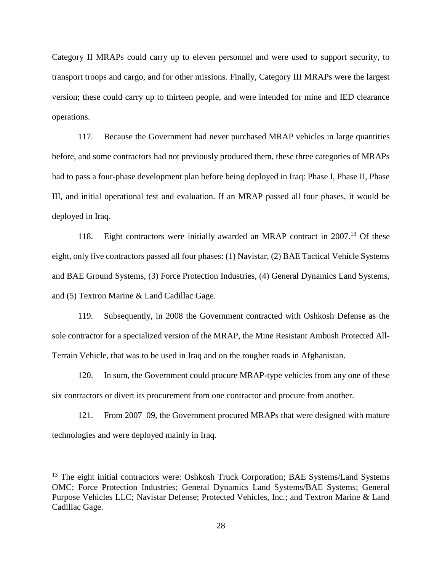Category II MRAPs could carry up to eleven personnel and were used to support security, to transport troops and cargo, and for other missions. Finally, Category III MRAPs were the largest version; these could carry up to thirteen people, and were intended for mine and IED clearance operations.

117. Because the Government had never purchased MRAP vehicles in large quantities before, and some contractors had not previously produced them, these three categories of MRAPs had to pass a four-phase development plan before being deployed in Iraq: Phase I, Phase II, Phase III, and initial operational test and evaluation. If an MRAP passed all four phases, it would be deployed in Iraq.

118. Eight contractors were initially awarded an MRAP contract in 2007. <sup>13</sup> Of these eight, only five contractors passed all four phases: (1) Navistar, (2) BAE Tactical Vehicle Systems and BAE Ground Systems, (3) Force Protection Industries, (4) General Dynamics Land Systems, and (5) Textron Marine & Land Cadillac Gage.

119. Subsequently, in 2008 the Government contracted with Oshkosh Defense as the sole contractor for a specialized version of the MRAP, the Mine Resistant Ambush Protected All-Terrain Vehicle, that was to be used in Iraq and on the rougher roads in Afghanistan.

120. In sum, the Government could procure MRAP-type vehicles from any one of these six contractors or divert its procurement from one contractor and procure from another.

121. From 2007–09, the Government procured MRAPs that were designed with mature technologies and were deployed mainly in Iraq.

 $\overline{\phantom{a}}$ 

<sup>&</sup>lt;sup>13</sup> The eight initial contractors were: Oshkosh Truck Corporation; BAE Systems/Land Systems OMC; Force Protection Industries; General Dynamics Land Systems/BAE Systems; General Purpose Vehicles LLC; Navistar Defense; Protected Vehicles, Inc.; and Textron Marine & Land Cadillac Gage.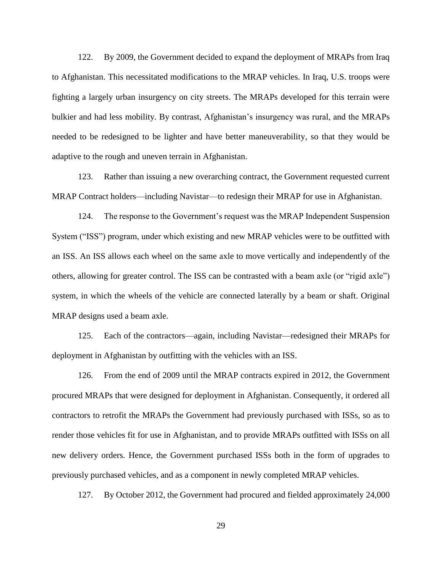122. By 2009, the Government decided to expand the deployment of MRAPs from Iraq to Afghanistan. This necessitated modifications to the MRAP vehicles. In Iraq, U.S. troops were fighting a largely urban insurgency on city streets. The MRAPs developed for this terrain were bulkier and had less mobility. By contrast, Afghanistan's insurgency was rural, and the MRAPs needed to be redesigned to be lighter and have better maneuverability, so that they would be adaptive to the rough and uneven terrain in Afghanistan.

123. Rather than issuing a new overarching contract, the Government requested current MRAP Contract holders—including Navistar—to redesign their MRAP for use in Afghanistan.

124. The response to the Government's request was the MRAP Independent Suspension System ("ISS") program, under which existing and new MRAP vehicles were to be outfitted with an ISS. An ISS allows each wheel on the same axle to move vertically and independently of the others, allowing for greater control. The ISS can be contrasted with a beam axle (or "rigid axle") system, in which the wheels of the vehicle are connected laterally by a beam or shaft. Original MRAP designs used a beam axle.

125. Each of the contractors—again, including Navistar—redesigned their MRAPs for deployment in Afghanistan by outfitting with the vehicles with an ISS.

126. From the end of 2009 until the MRAP contracts expired in 2012, the Government procured MRAPs that were designed for deployment in Afghanistan. Consequently, it ordered all contractors to retrofit the MRAPs the Government had previously purchased with ISSs, so as to render those vehicles fit for use in Afghanistan, and to provide MRAPs outfitted with ISSs on all new delivery orders. Hence, the Government purchased ISSs both in the form of upgrades to previously purchased vehicles, and as a component in newly completed MRAP vehicles.

127. By October 2012, the Government had procured and fielded approximately 24,000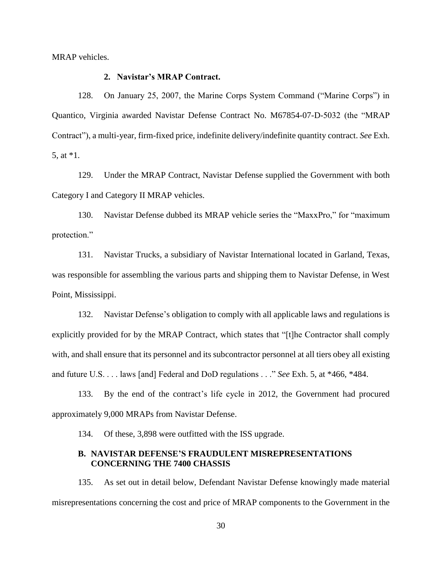<span id="page-34-0"></span>MRAP vehicles.

# **2. Navistar's MRAP Contract.**

128. On January 25, 2007, the Marine Corps System Command ("Marine Corps") in Quantico, Virginia awarded Navistar Defense Contract No. M67854-07-D-5032 (the "MRAP Contract"), a multi-year, firm-fixed price, indefinite delivery/indefinite quantity contract. *See* Exh. 5, at \*1.

129. Under the MRAP Contract, Navistar Defense supplied the Government with both Category I and Category II MRAP vehicles.

130. Navistar Defense dubbed its MRAP vehicle series the "MaxxPro," for "maximum protection."

131. Navistar Trucks, a subsidiary of Navistar International located in Garland, Texas, was responsible for assembling the various parts and shipping them to Navistar Defense, in West Point, Mississippi.

132. Navistar Defense's obligation to comply with all applicable laws and regulations is explicitly provided for by the MRAP Contract, which states that "[t]he Contractor shall comply with, and shall ensure that its personnel and its subcontractor personnel at all tiers obey all existing and future U.S. . . . laws [and] Federal and DoD regulations . . ." *See* Exh. 5, at \*466, \*484.

133. By the end of the contract's life cycle in 2012, the Government had procured approximately 9,000 MRAPs from Navistar Defense.

134. Of these, 3,898 were outfitted with the ISS upgrade.

## <span id="page-34-1"></span>**B. NAVISTAR DEFENSE'S FRAUDULENT MISREPRESENTATIONS CONCERNING THE 7400 CHASSIS**

135. As set out in detail below, Defendant Navistar Defense knowingly made material misrepresentations concerning the cost and price of MRAP components to the Government in the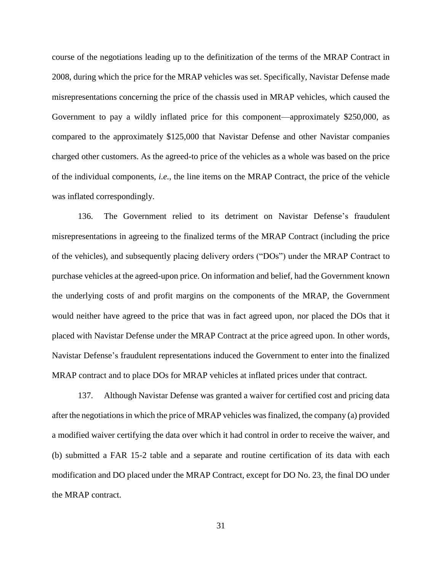course of the negotiations leading up to the definitization of the terms of the MRAP Contract in 2008, during which the price for the MRAP vehicles was set. Specifically, Navistar Defense made misrepresentations concerning the price of the chassis used in MRAP vehicles, which caused the Government to pay a wildly inflated price for this component—approximately \$250,000, as compared to the approximately \$125,000 that Navistar Defense and other Navistar companies charged other customers. As the agreed-to price of the vehicles as a whole was based on the price of the individual components, *i.e.*, the line items on the MRAP Contract, the price of the vehicle was inflated correspondingly.

136. The Government relied to its detriment on Navistar Defense's fraudulent misrepresentations in agreeing to the finalized terms of the MRAP Contract (including the price of the vehicles), and subsequently placing delivery orders ("DOs") under the MRAP Contract to purchase vehicles at the agreed-upon price. On information and belief, had the Government known the underlying costs of and profit margins on the components of the MRAP, the Government would neither have agreed to the price that was in fact agreed upon, nor placed the DOs that it placed with Navistar Defense under the MRAP Contract at the price agreed upon. In other words, Navistar Defense's fraudulent representations induced the Government to enter into the finalized MRAP contract and to place DOs for MRAP vehicles at inflated prices under that contract.

137. Although Navistar Defense was granted a waiver for certified cost and pricing data after the negotiations in which the price of MRAP vehicles was finalized, the company (a) provided a modified waiver certifying the data over which it had control in order to receive the waiver, and (b) submitted a FAR 15-2 table and a separate and routine certification of its data with each modification and DO placed under the MRAP Contract, except for DO No. 23, the final DO under the MRAP contract.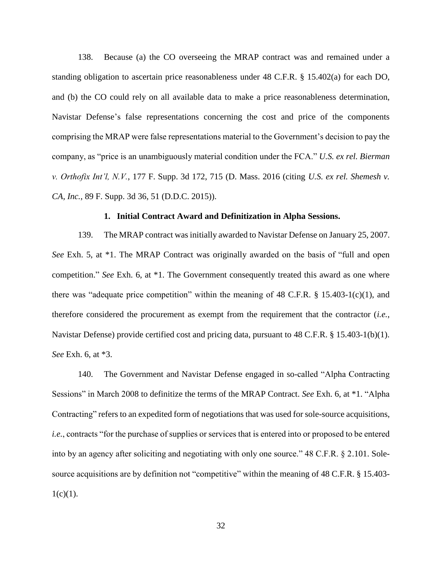138. Because (a) the CO overseeing the MRAP contract was and remained under a standing obligation to ascertain price reasonableness under 48 C.F.R. § 15.402(a) for each DO, and (b) the CO could rely on all available data to make a price reasonableness determination, Navistar Defense's false representations concerning the cost and price of the components comprising the MRAP were false representations material to the Government's decision to pay the company, as "price is an unambiguously material condition under the FCA." *U.S. ex rel. Bierman v. Orthofix Int'l, N.V.*, 177 F. Supp. 3d 172, 715 (D. Mass. 2016 (citing *U.S. ex rel. Shemesh v. CA, Inc.*, 89 F. Supp. 3d 36, 51 (D.D.C. 2015)).

#### **1. Initial Contract Award and Definitization in Alpha Sessions.**

139. The MRAP contract was initially awarded to Navistar Defense on January 25, 2007. *See* Exh. 5, at \*1. The MRAP Contract was originally awarded on the basis of "full and open competition." *See* Exh. 6, at \*1. The Government consequently treated this award as one where there was "adequate price competition" within the meaning of 48 C.F.R.  $\S$  15.403-1(c)(1), and therefore considered the procurement as exempt from the requirement that the contractor (*i.e.*, Navistar Defense) provide certified cost and pricing data, pursuant to 48 C.F.R. § 15.403-1(b)(1). *See* Exh. 6, at \*3.

140. The Government and Navistar Defense engaged in so-called "Alpha Contracting Sessions" in March 2008 to definitize the terms of the MRAP Contract. *See* Exh. 6, at \*1. "Alpha Contracting" refers to an expedited form of negotiations that was used for sole-source acquisitions, *i.e.*, contracts "for the purchase of supplies or services that is entered into or proposed to be entered into by an agency after soliciting and negotiating with only one source." 48 C.F.R. § 2.101. Solesource acquisitions are by definition not "competitive" within the meaning of 48 C.F.R. § 15.403- $1(c)(1)$ .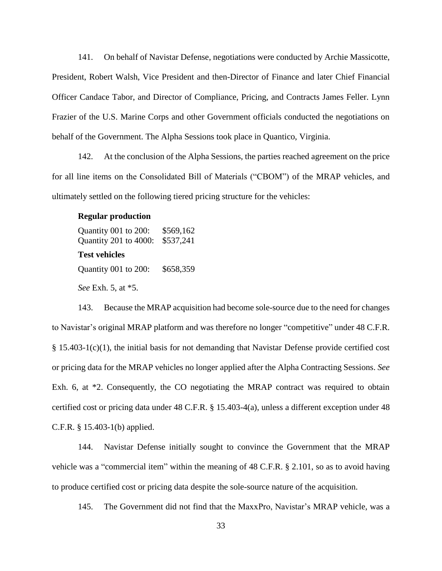141. On behalf of Navistar Defense, negotiations were conducted by Archie Massicotte, President, Robert Walsh, Vice President and then-Director of Finance and later Chief Financial Officer Candace Tabor, and Director of Compliance, Pricing, and Contracts James Feller. Lynn Frazier of the U.S. Marine Corps and other Government officials conducted the negotiations on behalf of the Government. The Alpha Sessions took place in Quantico, Virginia.

142. At the conclusion of the Alpha Sessions, the parties reached agreement on the price for all line items on the Consolidated Bill of Materials ("CBOM") of the MRAP vehicles, and ultimately settled on the following tiered pricing structure for the vehicles:

#### **Regular production**

Quantity 001 to 200: \$569,162 Quantity 201 to 4000: \$537,241 **Test vehicles**  Quantity 001 to 200: \$658,359 *See* Exh. 5, at \*5.

143. Because the MRAP acquisition had become sole-source due to the need for changes to Navistar's original MRAP platform and was therefore no longer "competitive" under 48 C.F.R. § 15.403-1(c)(1), the initial basis for not demanding that Navistar Defense provide certified cost or pricing data for the MRAP vehicles no longer applied after the Alpha Contracting Sessions. *See* Exh. 6, at  $*2$ . Consequently, the CO negotiating the MRAP contract was required to obtain certified cost or pricing data under 48 C.F.R. § 15.403-4(a), unless a different exception under 48 C.F.R. § 15.403-1(b) applied.

144. Navistar Defense initially sought to convince the Government that the MRAP vehicle was a "commercial item" within the meaning of 48 C.F.R. § 2.101, so as to avoid having to produce certified cost or pricing data despite the sole-source nature of the acquisition.

145. The Government did not find that the MaxxPro, Navistar's MRAP vehicle, was a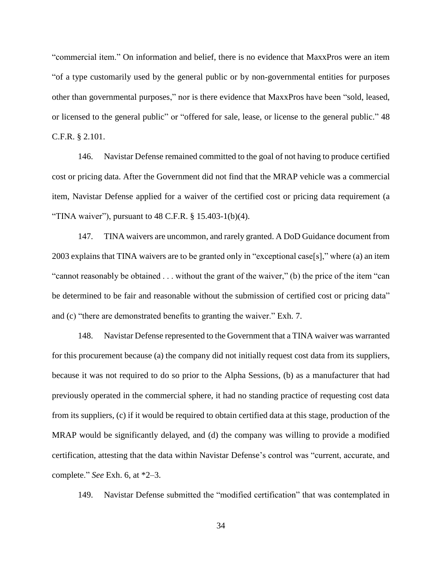"commercial item." On information and belief, there is no evidence that MaxxPros were an item "of a type customarily used by the general public or by non-governmental entities for purposes other than governmental purposes," nor is there evidence that MaxxPros have been "sold, leased, or licensed to the general public" or "offered for sale, lease, or license to the general public." 48 C.F.R. § 2.101.

146. Navistar Defense remained committed to the goal of not having to produce certified cost or pricing data. After the Government did not find that the MRAP vehicle was a commercial item, Navistar Defense applied for a waiver of the certified cost or pricing data requirement (a "TINA waiver"), pursuant to  $48$  C.F.R.  $\S$  15.403-1(b)(4).

147. TINA waivers are uncommon, and rarely granted. A DoD Guidance document from 2003 explains that TINA waivers are to be granted only in "exceptional case[s]," where (a) an item "cannot reasonably be obtained . . . without the grant of the waiver," (b) the price of the item "can be determined to be fair and reasonable without the submission of certified cost or pricing data" and (c) "there are demonstrated benefits to granting the waiver." Exh. 7.

148. Navistar Defense represented to the Government that a TINA waiver was warranted for this procurement because (a) the company did not initially request cost data from its suppliers, because it was not required to do so prior to the Alpha Sessions, (b) as a manufacturer that had previously operated in the commercial sphere, it had no standing practice of requesting cost data from its suppliers, (c) if it would be required to obtain certified data at this stage, production of the MRAP would be significantly delayed, and (d) the company was willing to provide a modified certification, attesting that the data within Navistar Defense's control was "current, accurate, and complete." *See* Exh. 6, at \*2–3.

149. Navistar Defense submitted the "modified certification" that was contemplated in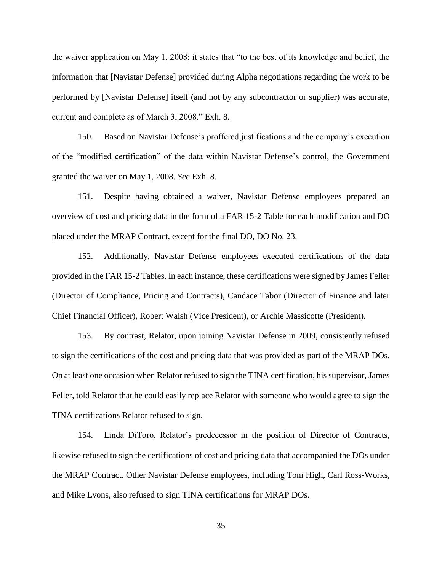the waiver application on May 1, 2008; it states that "to the best of its knowledge and belief, the information that [Navistar Defense] provided during Alpha negotiations regarding the work to be performed by [Navistar Defense] itself (and not by any subcontractor or supplier) was accurate, current and complete as of March 3, 2008." Exh. 8.

150. Based on Navistar Defense's proffered justifications and the company's execution of the "modified certification" of the data within Navistar Defense's control, the Government granted the waiver on May 1, 2008. *See* Exh. 8.

151. Despite having obtained a waiver, Navistar Defense employees prepared an overview of cost and pricing data in the form of a FAR 15-2 Table for each modification and DO placed under the MRAP Contract, except for the final DO, DO No. 23.

152. Additionally, Navistar Defense employees executed certifications of the data provided in the FAR 15-2 Tables. In each instance, these certifications were signed by James Feller (Director of Compliance, Pricing and Contracts), Candace Tabor (Director of Finance and later Chief Financial Officer), Robert Walsh (Vice President), or Archie Massicotte (President).

153. By contrast, Relator, upon joining Navistar Defense in 2009, consistently refused to sign the certifications of the cost and pricing data that was provided as part of the MRAP DOs. On at least one occasion when Relator refused to sign the TINA certification, his supervisor, James Feller, told Relator that he could easily replace Relator with someone who would agree to sign the TINA certifications Relator refused to sign.

154. Linda DiToro, Relator's predecessor in the position of Director of Contracts, likewise refused to sign the certifications of cost and pricing data that accompanied the DOs under the MRAP Contract. Other Navistar Defense employees, including Tom High, Carl Ross-Works, and Mike Lyons, also refused to sign TINA certifications for MRAP DOs.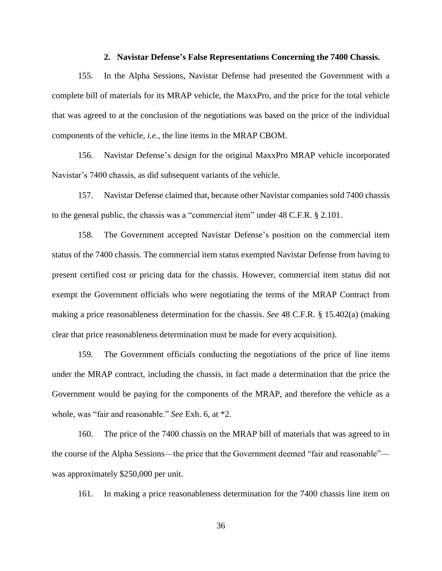#### **2. Navistar Defense's False Representations Concerning the 7400 Chassis.**

155. In the Alpha Sessions, Navistar Defense had presented the Government with a complete bill of materials for its MRAP vehicle, the MaxxPro, and the price for the total vehicle that was agreed to at the conclusion of the negotiations was based on the price of the individual components of the vehicle, *i.e.*, the line items in the MRAP CBOM.

156. Navistar Defense's design for the original MaxxPro MRAP vehicle incorporated Navistar's 7400 chassis, as did subsequent variants of the vehicle.

157. Navistar Defense claimed that, because other Navistar companies sold 7400 chassis to the general public, the chassis was a "commercial item" under 48 C.F.R. § 2.101.

158. The Government accepted Navistar Defense's position on the commercial item status of the 7400 chassis. The commercial item status exempted Navistar Defense from having to present certified cost or pricing data for the chassis. However, commercial item status did not exempt the Government officials who were negotiating the terms of the MRAP Contract from making a price reasonableness determination for the chassis. *See* 48 C.F.R. § 15.402(a) (making clear that price reasonableness determination must be made for every acquisition).

159. The Government officials conducting the negotiations of the price of line items under the MRAP contract, including the chassis, in fact made a determination that the price the Government would be paying for the components of the MRAP, and therefore the vehicle as a whole, was "fair and reasonable." *See* Exh. 6, at \*2.

160. The price of the 7400 chassis on the MRAP bill of materials that was agreed to in the course of the Alpha Sessions—the price that the Government deemed "fair and reasonable" was approximately \$250,000 per unit.

161. In making a price reasonableness determination for the 7400 chassis line item on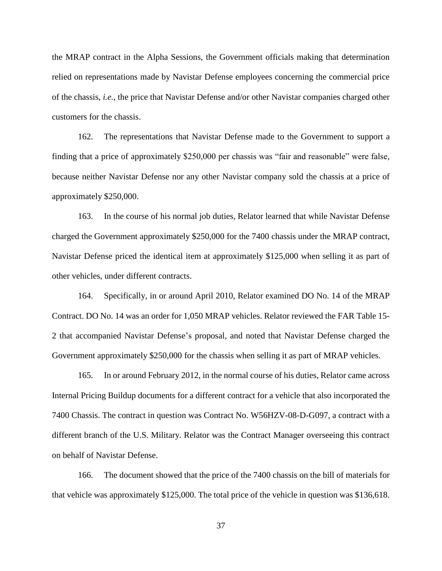the MRAP contract in the Alpha Sessions, the Government officials making that determination relied on representations made by Navistar Defense employees concerning the commercial price of the chassis, *i.e.*, the price that Navistar Defense and/or other Navistar companies charged other customers for the chassis.

162. The representations that Navistar Defense made to the Government to support a finding that a price of approximately \$250,000 per chassis was "fair and reasonable" were false, because neither Navistar Defense nor any other Navistar company sold the chassis at a price of approximately \$250,000.

163. In the course of his normal job duties, Relator learned that while Navistar Defense charged the Government approximately \$250,000 for the 7400 chassis under the MRAP contract, Navistar Defense priced the identical item at approximately \$125,000 when selling it as part of other vehicles, under different contracts.

164. Specifically, in or around April 2010, Relator examined DO No. 14 of the MRAP Contract. DO No. 14 was an order for 1,050 MRAP vehicles. Relator reviewed the FAR Table 15- 2 that accompanied Navistar Defense's proposal, and noted that Navistar Defense charged the Government approximately \$250,000 for the chassis when selling it as part of MRAP vehicles.

165. In or around February 2012, in the normal course of his duties, Relator came across Internal Pricing Buildup documents for a different contract for a vehicle that also incorporated the 7400 Chassis. The contract in question was Contract No. W56HZV-08-D-G097, a contract with a different branch of the U.S. Military. Relator was the Contract Manager overseeing this contract on behalf of Navistar Defense.

166. The document showed that the price of the 7400 chassis on the bill of materials for that vehicle was approximately \$125,000. The total price of the vehicle in question was \$136,618.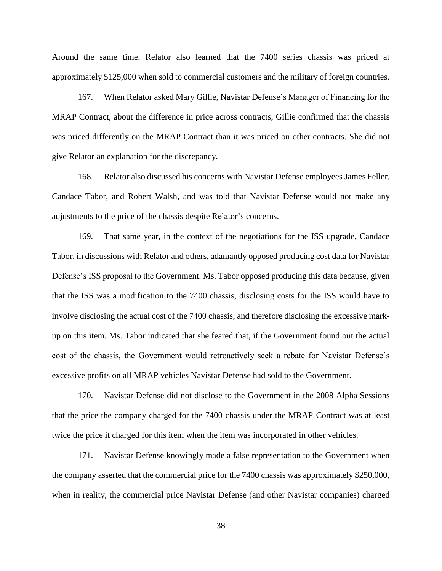Around the same time, Relator also learned that the 7400 series chassis was priced at approximately \$125,000 when sold to commercial customers and the military of foreign countries.

167. When Relator asked Mary Gillie, Navistar Defense's Manager of Financing for the MRAP Contract, about the difference in price across contracts, Gillie confirmed that the chassis was priced differently on the MRAP Contract than it was priced on other contracts. She did not give Relator an explanation for the discrepancy.

168. Relator also discussed his concerns with Navistar Defense employees James Feller, Candace Tabor, and Robert Walsh, and was told that Navistar Defense would not make any adjustments to the price of the chassis despite Relator's concerns.

169. That same year, in the context of the negotiations for the ISS upgrade, Candace Tabor, in discussions with Relator and others, adamantly opposed producing cost data for Navistar Defense's ISS proposal to the Government. Ms. Tabor opposed producing this data because, given that the ISS was a modification to the 7400 chassis, disclosing costs for the ISS would have to involve disclosing the actual cost of the 7400 chassis, and therefore disclosing the excessive markup on this item. Ms. Tabor indicated that she feared that, if the Government found out the actual cost of the chassis, the Government would retroactively seek a rebate for Navistar Defense's excessive profits on all MRAP vehicles Navistar Defense had sold to the Government.

170. Navistar Defense did not disclose to the Government in the 2008 Alpha Sessions that the price the company charged for the 7400 chassis under the MRAP Contract was at least twice the price it charged for this item when the item was incorporated in other vehicles.

171. Navistar Defense knowingly made a false representation to the Government when the company asserted that the commercial price for the 7400 chassis was approximately \$250,000, when in reality, the commercial price Navistar Defense (and other Navistar companies) charged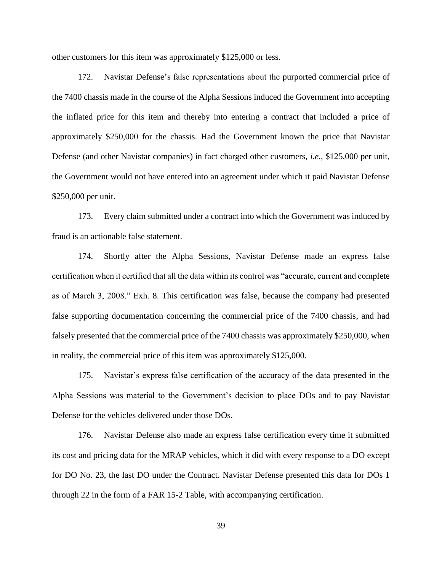other customers for this item was approximately \$125,000 or less.

172. Navistar Defense's false representations about the purported commercial price of the 7400 chassis made in the course of the Alpha Sessions induced the Government into accepting the inflated price for this item and thereby into entering a contract that included a price of approximately \$250,000 for the chassis. Had the Government known the price that Navistar Defense (and other Navistar companies) in fact charged other customers, *i.e.*, \$125,000 per unit, the Government would not have entered into an agreement under which it paid Navistar Defense \$250,000 per unit.

173. Every claim submitted under a contract into which the Government was induced by fraud is an actionable false statement.

174. Shortly after the Alpha Sessions, Navistar Defense made an express false certification when it certified that all the data within its control was "accurate, current and complete as of March 3, 2008." Exh. 8. This certification was false, because the company had presented false supporting documentation concerning the commercial price of the 7400 chassis, and had falsely presented that the commercial price of the 7400 chassis was approximately \$250,000, when in reality, the commercial price of this item was approximately \$125,000.

175. Navistar's express false certification of the accuracy of the data presented in the Alpha Sessions was material to the Government's decision to place DOs and to pay Navistar Defense for the vehicles delivered under those DOs.

176. Navistar Defense also made an express false certification every time it submitted its cost and pricing data for the MRAP vehicles, which it did with every response to a DO except for DO No. 23, the last DO under the Contract. Navistar Defense presented this data for DOs 1 through 22 in the form of a FAR 15-2 Table, with accompanying certification.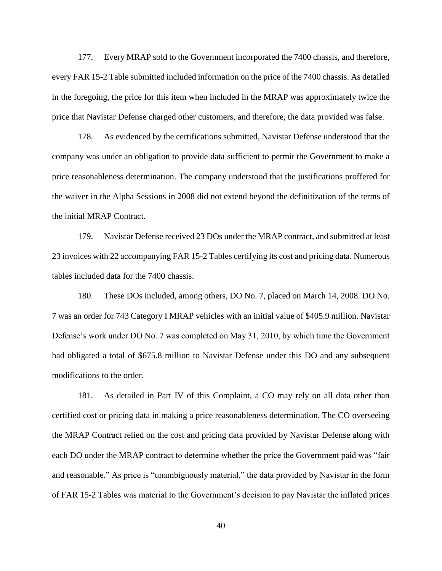177. Every MRAP sold to the Government incorporated the 7400 chassis, and therefore, every FAR 15-2 Table submitted included information on the price of the 7400 chassis. As detailed in the foregoing, the price for this item when included in the MRAP was approximately twice the price that Navistar Defense charged other customers, and therefore, the data provided was false.

178. As evidenced by the certifications submitted, Navistar Defense understood that the company was under an obligation to provide data sufficient to permit the Government to make a price reasonableness determination. The company understood that the justifications proffered for the waiver in the Alpha Sessions in 2008 did not extend beyond the definitization of the terms of the initial MRAP Contract.

179. Navistar Defense received 23 DOs under the MRAP contract, and submitted at least 23 invoices with 22 accompanying FAR 15-2 Tables certifying its cost and pricing data. Numerous tables included data for the 7400 chassis.

180. These DOs included, among others, DO No. 7, placed on March 14, 2008. DO No. 7 was an order for 743 Category I MRAP vehicles with an initial value of \$405.9 million. Navistar Defense's work under DO No. 7 was completed on May 31, 2010, by which time the Government had obligated a total of \$675.8 million to Navistar Defense under this DO and any subsequent modifications to the order.

181. As detailed in Part IV of this Complaint, a CO may rely on all data other than certified cost or pricing data in making a price reasonableness determination. The CO overseeing the MRAP Contract relied on the cost and pricing data provided by Navistar Defense along with each DO under the MRAP contract to determine whether the price the Government paid was "fair and reasonable." As price is "unambiguously material," the data provided by Navistar in the form of FAR 15-2 Tables was material to the Government's decision to pay Navistar the inflated prices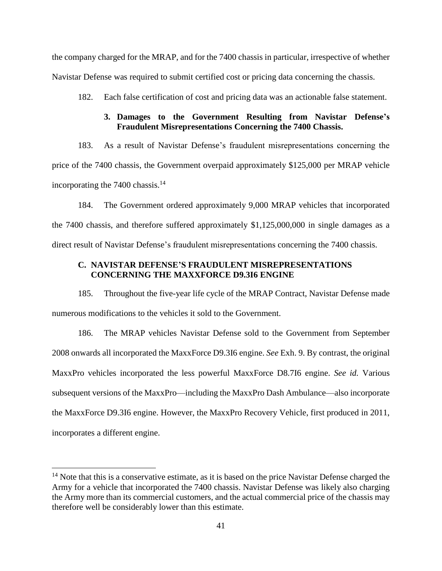the company charged for the MRAP, and for the 7400 chassis in particular, irrespective of whether Navistar Defense was required to submit certified cost or pricing data concerning the chassis.

182. Each false certification of cost and pricing data was an actionable false statement.

### **3. Damages to the Government Resulting from Navistar Defense's Fraudulent Misrepresentations Concerning the 7400 Chassis.**

183. As a result of Navistar Defense's fraudulent misrepresentations concerning the price of the 7400 chassis, the Government overpaid approximately \$125,000 per MRAP vehicle incorporating the 7400 chassis. $14$ 

184. The Government ordered approximately 9,000 MRAP vehicles that incorporated the 7400 chassis, and therefore suffered approximately \$1,125,000,000 in single damages as a direct result of Navistar Defense's fraudulent misrepresentations concerning the 7400 chassis.

### **C. NAVISTAR DEFENSE'S FRAUDULENT MISREPRESENTATIONS CONCERNING THE MAXXFORCE D9.3I6 ENGINE**

185. Throughout the five-year life cycle of the MRAP Contract, Navistar Defense made numerous modifications to the vehicles it sold to the Government.

186. The MRAP vehicles Navistar Defense sold to the Government from September 2008 onwards all incorporated the MaxxForce D9.3I6 engine. *See* Exh. 9. By contrast, the original MaxxPro vehicles incorporated the less powerful MaxxForce D8.7I6 engine. *See id.* Various subsequent versions of the MaxxPro—including the MaxxPro Dash Ambulance—also incorporate the MaxxForce D9.3I6 engine. However, the MaxxPro Recovery Vehicle, first produced in 2011, incorporates a different engine.

 $\overline{\phantom{a}}$ 

 $14$  Note that this is a conservative estimate, as it is based on the price Navistar Defense charged the Army for a vehicle that incorporated the 7400 chassis. Navistar Defense was likely also charging the Army more than its commercial customers, and the actual commercial price of the chassis may therefore well be considerably lower than this estimate.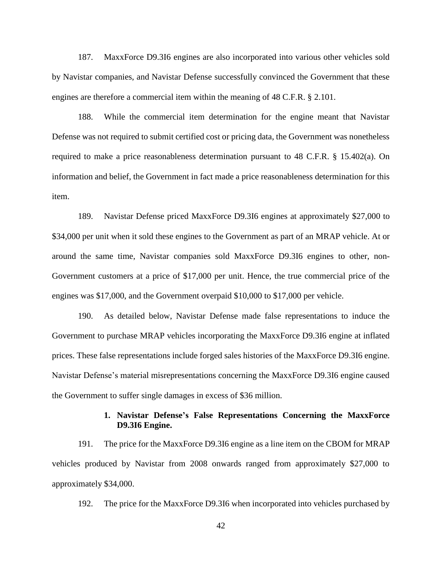187. MaxxForce D9.3I6 engines are also incorporated into various other vehicles sold by Navistar companies, and Navistar Defense successfully convinced the Government that these engines are therefore a commercial item within the meaning of 48 C.F.R. § 2.101.

188. While the commercial item determination for the engine meant that Navistar Defense was not required to submit certified cost or pricing data, the Government was nonetheless required to make a price reasonableness determination pursuant to 48 C.F.R. § 15.402(a). On information and belief, the Government in fact made a price reasonableness determination for this item.

189. Navistar Defense priced MaxxForce D9.3I6 engines at approximately \$27,000 to \$34,000 per unit when it sold these engines to the Government as part of an MRAP vehicle. At or around the same time, Navistar companies sold MaxxForce D9.3I6 engines to other, non-Government customers at a price of \$17,000 per unit. Hence, the true commercial price of the engines was \$17,000, and the Government overpaid \$10,000 to \$17,000 per vehicle.

190. As detailed below, Navistar Defense made false representations to induce the Government to purchase MRAP vehicles incorporating the MaxxForce D9.3I6 engine at inflated prices. These false representations include forged sales histories of the MaxxForce D9.3I6 engine. Navistar Defense's material misrepresentations concerning the MaxxForce D9.3I6 engine caused the Government to suffer single damages in excess of \$36 million.

## **1. Navistar Defense's False Representations Concerning the MaxxForce D9.3I6 Engine.**

191. The price for the MaxxForce D9.3I6 engine as a line item on the CBOM for MRAP vehicles produced by Navistar from 2008 onwards ranged from approximately \$27,000 to approximately \$34,000.

192. The price for the MaxxForce D9.3I6 when incorporated into vehicles purchased by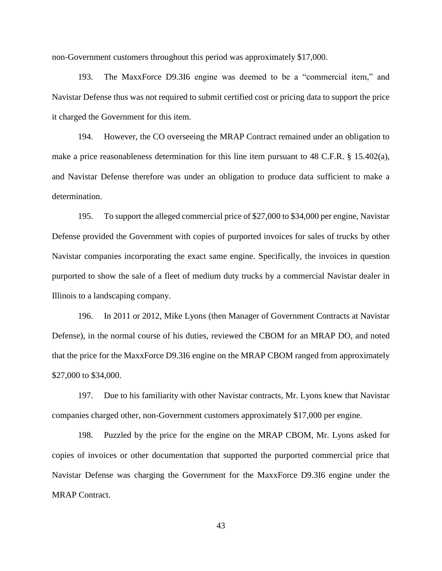non-Government customers throughout this period was approximately \$17,000.

193. The MaxxForce D9.3I6 engine was deemed to be a "commercial item," and Navistar Defense thus was not required to submit certified cost or pricing data to support the price it charged the Government for this item.

194. However, the CO overseeing the MRAP Contract remained under an obligation to make a price reasonableness determination for this line item pursuant to 48 C.F.R. § 15.402(a), and Navistar Defense therefore was under an obligation to produce data sufficient to make a determination.

195. To support the alleged commercial price of \$27,000 to \$34,000 per engine, Navistar Defense provided the Government with copies of purported invoices for sales of trucks by other Navistar companies incorporating the exact same engine. Specifically, the invoices in question purported to show the sale of a fleet of medium duty trucks by a commercial Navistar dealer in Illinois to a landscaping company.

196. In 2011 or 2012, Mike Lyons (then Manager of Government Contracts at Navistar Defense), in the normal course of his duties, reviewed the CBOM for an MRAP DO, and noted that the price for the MaxxForce D9.3I6 engine on the MRAP CBOM ranged from approximately \$27,000 to \$34,000.

197. Due to his familiarity with other Navistar contracts, Mr. Lyons knew that Navistar companies charged other, non-Government customers approximately \$17,000 per engine.

198. Puzzled by the price for the engine on the MRAP CBOM, Mr. Lyons asked for copies of invoices or other documentation that supported the purported commercial price that Navistar Defense was charging the Government for the MaxxForce D9.3I6 engine under the MRAP Contract.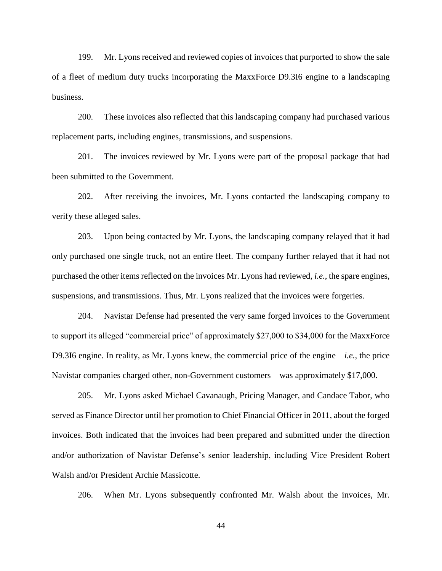199. Mr. Lyons received and reviewed copies of invoices that purported to show the sale of a fleet of medium duty trucks incorporating the MaxxForce D9.3I6 engine to a landscaping business.

200. These invoices also reflected that this landscaping company had purchased various replacement parts, including engines, transmissions, and suspensions.

201. The invoices reviewed by Mr. Lyons were part of the proposal package that had been submitted to the Government.

202. After receiving the invoices, Mr. Lyons contacted the landscaping company to verify these alleged sales.

203. Upon being contacted by Mr. Lyons, the landscaping company relayed that it had only purchased one single truck, not an entire fleet. The company further relayed that it had not purchased the other items reflected on the invoices Mr. Lyons had reviewed, *i.e.*, the spare engines, suspensions, and transmissions. Thus, Mr. Lyons realized that the invoices were forgeries.

204. Navistar Defense had presented the very same forged invoices to the Government to support its alleged "commercial price" of approximately \$27,000 to \$34,000 for the MaxxForce D9.3I6 engine. In reality, as Mr. Lyons knew, the commercial price of the engine—*i.e.*, the price Navistar companies charged other, non-Government customers—was approximately \$17,000.

205. Mr. Lyons asked Michael Cavanaugh, Pricing Manager, and Candace Tabor, who served as Finance Director until her promotion to Chief Financial Officer in 2011, about the forged invoices. Both indicated that the invoices had been prepared and submitted under the direction and/or authorization of Navistar Defense's senior leadership, including Vice President Robert Walsh and/or President Archie Massicotte.

206. When Mr. Lyons subsequently confronted Mr. Walsh about the invoices, Mr.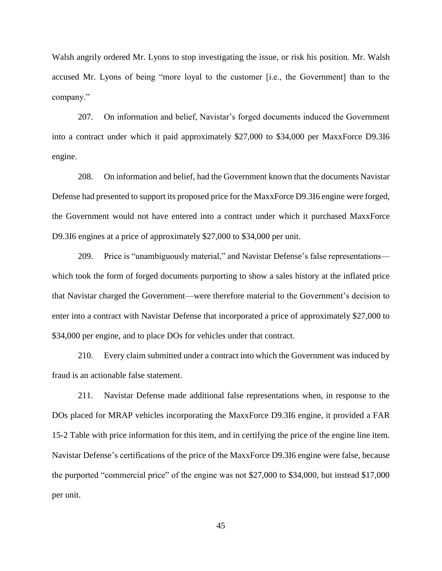Walsh angrily ordered Mr. Lyons to stop investigating the issue, or risk his position. Mr. Walsh accused Mr. Lyons of being "more loyal to the customer [i.e., the Government] than to the company."

207. On information and belief, Navistar's forged documents induced the Government into a contract under which it paid approximately \$27,000 to \$34,000 per MaxxForce D9.3I6 engine.

208. On information and belief, had the Government known that the documents Navistar Defense had presented to support its proposed price for the MaxxForce D9.3I6 engine were forged, the Government would not have entered into a contract under which it purchased MaxxForce D9.3I6 engines at a price of approximately \$27,000 to \$34,000 per unit.

209. Price is "unambiguously material," and Navistar Defense's false representations which took the form of forged documents purporting to show a sales history at the inflated price that Navistar charged the Government—were therefore material to the Government's decision to enter into a contract with Navistar Defense that incorporated a price of approximately \$27,000 to \$34,000 per engine, and to place DOs for vehicles under that contract.

210. Every claim submitted under a contract into which the Government was induced by fraud is an actionable false statement.

211. Navistar Defense made additional false representations when, in response to the DOs placed for MRAP vehicles incorporating the MaxxForce D9.3I6 engine, it provided a FAR 15-2 Table with price information for this item, and in certifying the price of the engine line item. Navistar Defense's certifications of the price of the MaxxForce D9.3I6 engine were false, because the purported "commercial price" of the engine was not \$27,000 to \$34,000, but instead \$17,000 per unit.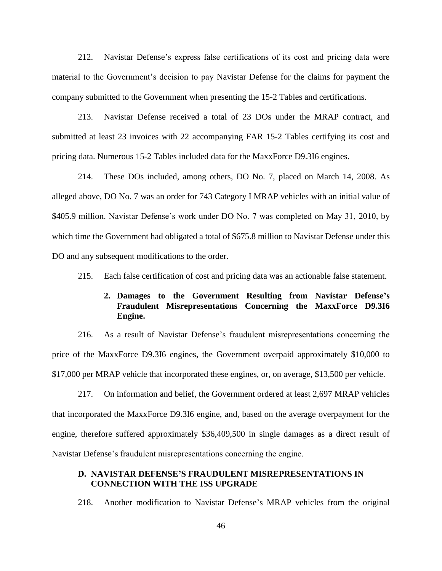212. Navistar Defense's express false certifications of its cost and pricing data were material to the Government's decision to pay Navistar Defense for the claims for payment the company submitted to the Government when presenting the 15-2 Tables and certifications.

213. Navistar Defense received a total of 23 DOs under the MRAP contract, and submitted at least 23 invoices with 22 accompanying FAR 15-2 Tables certifying its cost and pricing data. Numerous 15-2 Tables included data for the MaxxForce D9.3I6 engines.

214. These DOs included, among others, DO No. 7, placed on March 14, 2008. As alleged above, DO No. 7 was an order for 743 Category I MRAP vehicles with an initial value of \$405.9 million. Navistar Defense's work under DO No. 7 was completed on May 31, 2010, by which time the Government had obligated a total of \$675.8 million to Navistar Defense under this DO and any subsequent modifications to the order.

215. Each false certification of cost and pricing data was an actionable false statement.

# **2. Damages to the Government Resulting from Navistar Defense's Fraudulent Misrepresentations Concerning the MaxxForce D9.3I6 Engine.**

216. As a result of Navistar Defense's fraudulent misrepresentations concerning the price of the MaxxForce D9.3I6 engines, the Government overpaid approximately \$10,000 to \$17,000 per MRAP vehicle that incorporated these engines, or, on average, \$13,500 per vehicle.

217. On information and belief, the Government ordered at least 2,697 MRAP vehicles that incorporated the MaxxForce D9.3I6 engine, and, based on the average overpayment for the engine, therefore suffered approximately \$36,409,500 in single damages as a direct result of Navistar Defense's fraudulent misrepresentations concerning the engine.

## **D. NAVISTAR DEFENSE'S FRAUDULENT MISREPRESENTATIONS IN CONNECTION WITH THE ISS UPGRADE**

218. Another modification to Navistar Defense's MRAP vehicles from the original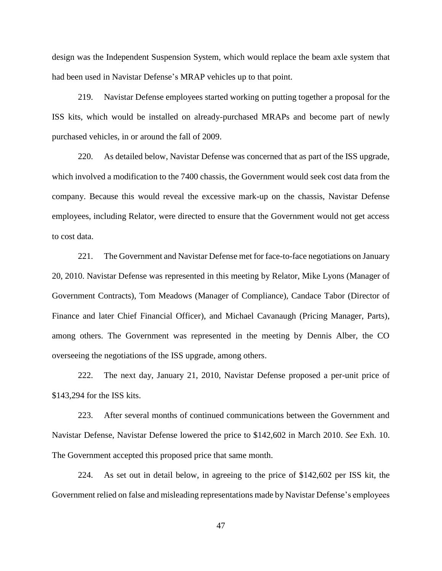design was the Independent Suspension System, which would replace the beam axle system that had been used in Navistar Defense's MRAP vehicles up to that point.

219. Navistar Defense employees started working on putting together a proposal for the ISS kits, which would be installed on already-purchased MRAPs and become part of newly purchased vehicles, in or around the fall of 2009.

220. As detailed below, Navistar Defense was concerned that as part of the ISS upgrade, which involved a modification to the 7400 chassis, the Government would seek cost data from the company. Because this would reveal the excessive mark-up on the chassis, Navistar Defense employees, including Relator, were directed to ensure that the Government would not get access to cost data.

221. The Government and Navistar Defense met for face-to-face negotiations on January 20, 2010. Navistar Defense was represented in this meeting by Relator, Mike Lyons (Manager of Government Contracts), Tom Meadows (Manager of Compliance), Candace Tabor (Director of Finance and later Chief Financial Officer), and Michael Cavanaugh (Pricing Manager, Parts), among others. The Government was represented in the meeting by Dennis Alber, the CO overseeing the negotiations of the ISS upgrade, among others.

222. The next day, January 21, 2010, Navistar Defense proposed a per-unit price of \$143,294 for the ISS kits.

223. After several months of continued communications between the Government and Navistar Defense, Navistar Defense lowered the price to \$142,602 in March 2010. *See* Exh. 10. The Government accepted this proposed price that same month.

224. As set out in detail below, in agreeing to the price of \$142,602 per ISS kit, the Government relied on false and misleading representations made by Navistar Defense's employees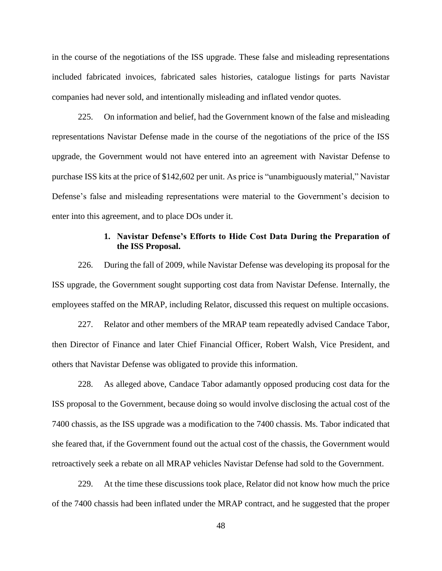in the course of the negotiations of the ISS upgrade. These false and misleading representations included fabricated invoices, fabricated sales histories, catalogue listings for parts Navistar companies had never sold, and intentionally misleading and inflated vendor quotes.

225. On information and belief, had the Government known of the false and misleading representations Navistar Defense made in the course of the negotiations of the price of the ISS upgrade, the Government would not have entered into an agreement with Navistar Defense to purchase ISS kits at the price of \$142,602 per unit. As price is "unambiguously material," Navistar Defense's false and misleading representations were material to the Government's decision to enter into this agreement, and to place DOs under it.

# **1. Navistar Defense's Efforts to Hide Cost Data During the Preparation of the ISS Proposal.**

226. During the fall of 2009, while Navistar Defense was developing its proposal for the ISS upgrade, the Government sought supporting cost data from Navistar Defense. Internally, the employees staffed on the MRAP, including Relator, discussed this request on multiple occasions.

227. Relator and other members of the MRAP team repeatedly advised Candace Tabor, then Director of Finance and later Chief Financial Officer, Robert Walsh, Vice President, and others that Navistar Defense was obligated to provide this information.

228. As alleged above, Candace Tabor adamantly opposed producing cost data for the ISS proposal to the Government, because doing so would involve disclosing the actual cost of the 7400 chassis, as the ISS upgrade was a modification to the 7400 chassis. Ms. Tabor indicated that she feared that, if the Government found out the actual cost of the chassis, the Government would retroactively seek a rebate on all MRAP vehicles Navistar Defense had sold to the Government.

229. At the time these discussions took place, Relator did not know how much the price of the 7400 chassis had been inflated under the MRAP contract, and he suggested that the proper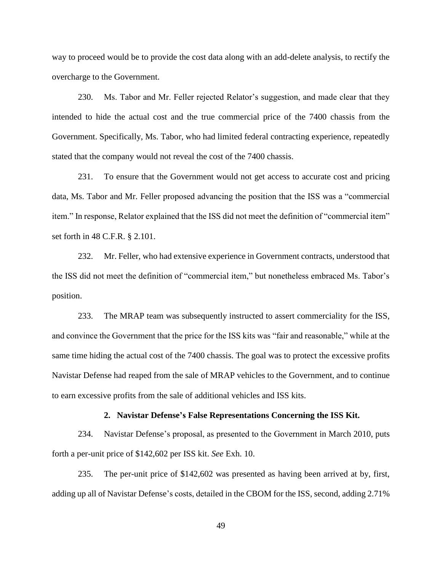way to proceed would be to provide the cost data along with an add-delete analysis, to rectify the overcharge to the Government.

230. Ms. Tabor and Mr. Feller rejected Relator's suggestion, and made clear that they intended to hide the actual cost and the true commercial price of the 7400 chassis from the Government. Specifically, Ms. Tabor, who had limited federal contracting experience, repeatedly stated that the company would not reveal the cost of the 7400 chassis.

231. To ensure that the Government would not get access to accurate cost and pricing data, Ms. Tabor and Mr. Feller proposed advancing the position that the ISS was a "commercial item." In response, Relator explained that the ISS did not meet the definition of "commercial item" set forth in 48 C.F.R. § 2.101.

232. Mr. Feller, who had extensive experience in Government contracts, understood that the ISS did not meet the definition of "commercial item," but nonetheless embraced Ms. Tabor's position.

233. The MRAP team was subsequently instructed to assert commerciality for the ISS, and convince the Government that the price for the ISS kits was "fair and reasonable," while at the same time hiding the actual cost of the 7400 chassis. The goal was to protect the excessive profits Navistar Defense had reaped from the sale of MRAP vehicles to the Government, and to continue to earn excessive profits from the sale of additional vehicles and ISS kits.

#### **2. Navistar Defense's False Representations Concerning the ISS Kit.**

234. Navistar Defense's proposal, as presented to the Government in March 2010, puts forth a per-unit price of \$142,602 per ISS kit. *See* Exh. 10.

235. The per-unit price of \$142,602 was presented as having been arrived at by, first, adding up all of Navistar Defense's costs, detailed in the CBOM for the ISS, second, adding 2.71%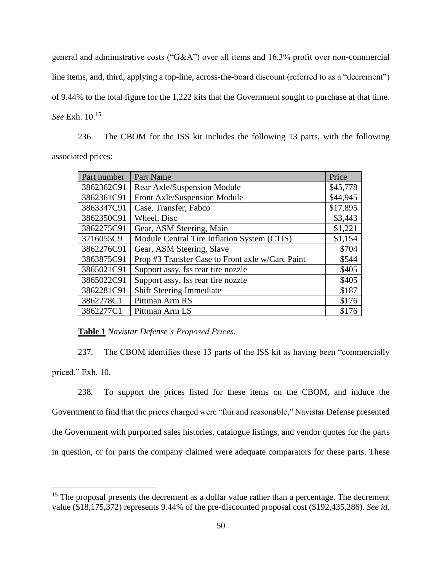general and administrative costs ("G&A") over all items and 16.3% profit over non-commercial line items, and, third, applying a top-line, across-the-board discount (referred to as a "decrement") of 9.44% to the total figure for the 1,222 kits that the Government sought to purchase at that time. *See* Exh. 10. 15

236. The CBOM for the ISS kit includes the following 13 parts, with the following associated prices:

| Part number | Part Name                                        | Price    |
|-------------|--------------------------------------------------|----------|
| 3862362C91  | <b>Rear Axle/Suspension Module</b>               | \$45,778 |
| 3862361C91  | Front Axle/Suspension Module                     | \$44,945 |
| 3863347C91  | Case, Transfer, Fabco                            | \$17,895 |
| 3862350C91  | Wheel, Disc                                      | \$3,443  |
| 3862275C91  | Gear, ASM Steering, Main                         | \$1,221  |
| 3716055C9   | Module Central Tire Inflation System (CTIS)      | \$1,154  |
| 3862276C91  | Gear, ASM Steering, Slave                        | \$704    |
| 3863875C91  | Prop #3 Transfer Case to Front axle w/Carc Paint | \$544    |
| 3865021C91  | Support assy, fss rear tire nozzle               | \$405    |
| 3865022C91  | Support assy, fss rear tire nozzle               | \$405    |
| 3862281C91  | <b>Shift Steering Immediate</b>                  | \$187    |
| 3862278C1   | Pittman Arm RS                                   | \$176    |
| 3862277C1   | Pittman Arm LS                                   | \$176    |

**Table 1** *Navistar Defense's Proposed Prices*.

 $\overline{\phantom{a}}$ 

237. The CBOM identifies these 13 parts of the ISS kit as having been "commercially priced." Exh. 10.

238. To support the prices listed for these items on the CBOM, and induce the Government to find that the prices charged were "fair and reasonable," Navistar Defense presented the Government with purported sales histories, catalogue listings, and vendor quotes for the parts in question, or for parts the company claimed were adequate comparators for these parts. These

 $15$  The proposal presents the decrement as a dollar value rather than a percentage. The decrement value (\$18,175,372) represents 9.44% of the pre-discounted proposal cost (\$192,435,286). *See id.*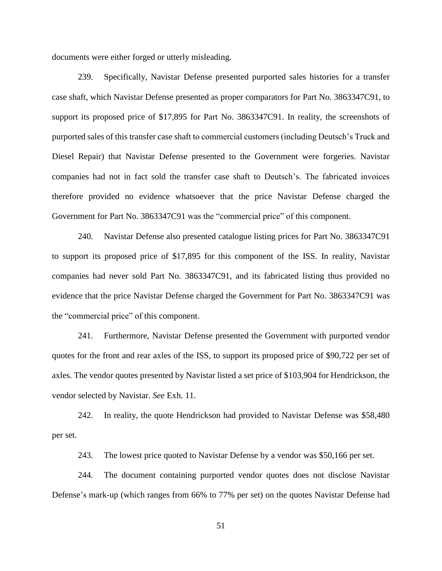documents were either forged or utterly misleading.

239. Specifically, Navistar Defense presented purported sales histories for a transfer case shaft, which Navistar Defense presented as proper comparators for Part No. 3863347C91, to support its proposed price of \$17,895 for Part No. 3863347C91. In reality, the screenshots of purported sales of this transfer case shaft to commercial customers (including Deutsch's Truck and Diesel Repair) that Navistar Defense presented to the Government were forgeries. Navistar companies had not in fact sold the transfer case shaft to Deutsch's. The fabricated invoices therefore provided no evidence whatsoever that the price Navistar Defense charged the Government for Part No. 3863347C91 was the "commercial price" of this component.

240. Navistar Defense also presented catalogue listing prices for Part No. 3863347C91 to support its proposed price of \$17,895 for this component of the ISS. In reality, Navistar companies had never sold Part No. 3863347C91, and its fabricated listing thus provided no evidence that the price Navistar Defense charged the Government for Part No. 3863347C91 was the "commercial price" of this component.

241. Furthermore, Navistar Defense presented the Government with purported vendor quotes for the front and rear axles of the ISS, to support its proposed price of \$90,722 per set of axles. The vendor quotes presented by Navistar listed a set price of \$103,904 for Hendrickson, the vendor selected by Navistar. *See* Exh. 11.

242. In reality, the quote Hendrickson had provided to Navistar Defense was \$58,480 per set.

243. The lowest price quoted to Navistar Defense by a vendor was \$50,166 per set.

244. The document containing purported vendor quotes does not disclose Navistar Defense's mark-up (which ranges from 66% to 77% per set) on the quotes Navistar Defense had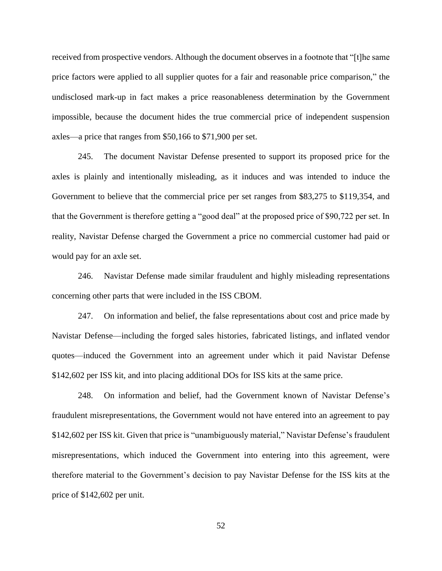received from prospective vendors. Although the document observes in a footnote that "[t]he same price factors were applied to all supplier quotes for a fair and reasonable price comparison," the undisclosed mark-up in fact makes a price reasonableness determination by the Government impossible, because the document hides the true commercial price of independent suspension axles—a price that ranges from \$50,166 to \$71,900 per set.

245. The document Navistar Defense presented to support its proposed price for the axles is plainly and intentionally misleading, as it induces and was intended to induce the Government to believe that the commercial price per set ranges from \$83,275 to \$119,354, and that the Government is therefore getting a "good deal" at the proposed price of \$90,722 per set. In reality, Navistar Defense charged the Government a price no commercial customer had paid or would pay for an axle set.

246. Navistar Defense made similar fraudulent and highly misleading representations concerning other parts that were included in the ISS CBOM.

247. On information and belief, the false representations about cost and price made by Navistar Defense—including the forged sales histories, fabricated listings, and inflated vendor quotes—induced the Government into an agreement under which it paid Navistar Defense \$142,602 per ISS kit, and into placing additional DOs for ISS kits at the same price.

248. On information and belief, had the Government known of Navistar Defense's fraudulent misrepresentations, the Government would not have entered into an agreement to pay \$142,602 per ISS kit. Given that price is "unambiguously material," Navistar Defense's fraudulent misrepresentations, which induced the Government into entering into this agreement, were therefore material to the Government's decision to pay Navistar Defense for the ISS kits at the price of \$142,602 per unit.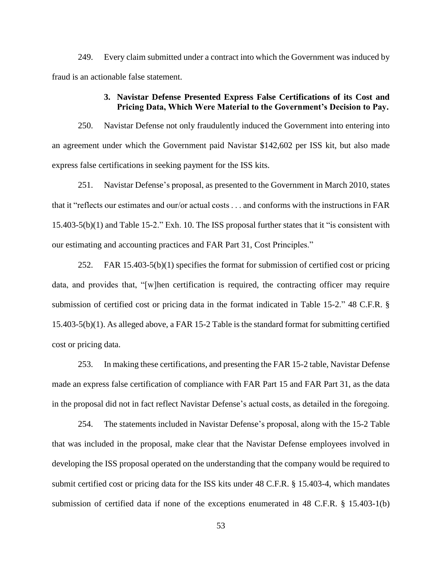249. Every claim submitted under a contract into which the Government was induced by fraud is an actionable false statement.

#### **3. Navistar Defense Presented Express False Certifications of its Cost and Pricing Data, Which Were Material to the Government's Decision to Pay.**

250. Navistar Defense not only fraudulently induced the Government into entering into an agreement under which the Government paid Navistar \$142,602 per ISS kit, but also made express false certifications in seeking payment for the ISS kits.

251. Navistar Defense's proposal, as presented to the Government in March 2010, states that it "reflects our estimates and our/or actual costs . . . and conforms with the instructions in FAR 15.403-5(b)(1) and Table 15-2." Exh. 10. The ISS proposal further states that it "is consistent with our estimating and accounting practices and FAR Part 31, Cost Principles."

252. FAR 15.403-5(b)(1) specifies the format for submission of certified cost or pricing data, and provides that, "[w]hen certification is required, the contracting officer may require submission of certified cost or pricing data in the format indicated in Table 15-2." 48 C.F.R. § 15.403-5(b)(1). As alleged above, a FAR 15-2 Table is the standard format for submitting certified cost or pricing data.

253. In making these certifications, and presenting the FAR 15-2 table, Navistar Defense made an express false certification of compliance with FAR Part 15 and FAR Part 31, as the data in the proposal did not in fact reflect Navistar Defense's actual costs, as detailed in the foregoing.

254. The statements included in Navistar Defense's proposal, along with the 15-2 Table that was included in the proposal, make clear that the Navistar Defense employees involved in developing the ISS proposal operated on the understanding that the company would be required to submit certified cost or pricing data for the ISS kits under 48 C.F.R. § 15.403-4, which mandates submission of certified data if none of the exceptions enumerated in 48 C.F.R. § 15.403-1(b)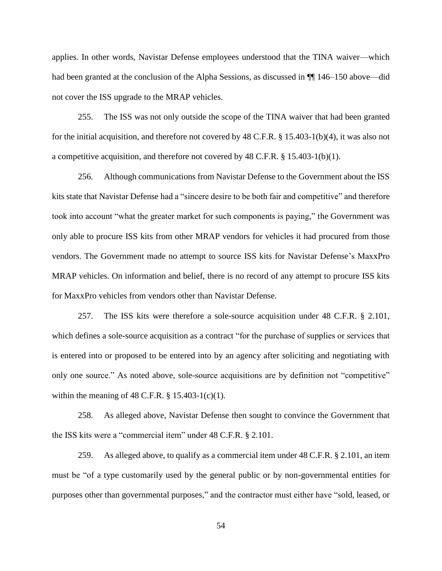applies. In other words, Navistar Defense employees understood that the TINA waiver—which had been granted at the conclusion of the Alpha Sessions, as discussed in  $\P$  146–150 above—did not cover the ISS upgrade to the MRAP vehicles.

255. The ISS was not only outside the scope of the TINA waiver that had been granted for the initial acquisition, and therefore not covered by 48 C.F.R. § 15.403-1(b)(4), it was also not a competitive acquisition, and therefore not covered by 48 C.F.R. § 15.403-1(b)(1).

256. Although communications from Navistar Defense to the Government about the ISS kits state that Navistar Defense had a "sincere desire to be both fair and competitive" and therefore took into account "what the greater market for such components is paying," the Government was only able to procure ISS kits from other MRAP vendors for vehicles it had procured from those vendors. The Government made no attempt to source ISS kits for Navistar Defense's MaxxPro MRAP vehicles. On information and belief, there is no record of any attempt to procure ISS kits for MaxxPro vehicles from vendors other than Navistar Defense.

257. The ISS kits were therefore a sole-source acquisition under 48 C.F.R. § 2.101, which defines a sole-source acquisition as a contract "for the purchase of supplies or services that is entered into or proposed to be entered into by an agency after soliciting and negotiating with only one source." As noted above, sole-source acquisitions are by definition not "competitive" within the meaning of 48 C.F.R.  $\S 15.403 - 1(c)(1)$ .

258. As alleged above, Navistar Defense then sought to convince the Government that the ISS kits were a "commercial item" under 48 C.F.R. § 2.101.

259. As alleged above, to qualify as a commercial item under 48 C.F.R. § 2.101, an item must be "of a type customarily used by the general public or by non-governmental entities for purposes other than governmental purposes," and the contractor must either have "sold, leased, or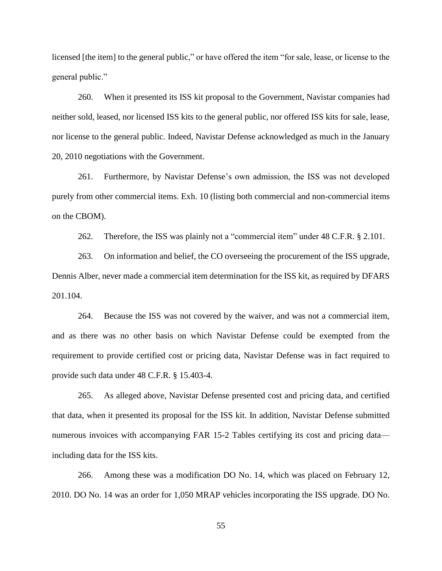licensed [the item] to the general public," or have offered the item "for sale, lease, or license to the general public."

260. When it presented its ISS kit proposal to the Government, Navistar companies had neither sold, leased, nor licensed ISS kits to the general public, nor offered ISS kits for sale, lease, nor license to the general public. Indeed, Navistar Defense acknowledged as much in the January 20, 2010 negotiations with the Government.

261. Furthermore, by Navistar Defense's own admission, the ISS was not developed purely from other commercial items. Exh. 10 (listing both commercial and non-commercial items on the CBOM).

262. Therefore, the ISS was plainly not a "commercial item" under 48 C.F.R. § 2.101.

263. On information and belief, the CO overseeing the procurement of the ISS upgrade, Dennis Alber, never made a commercial item determination for the ISS kit, as required by DFARS 201.104.

264. Because the ISS was not covered by the waiver, and was not a commercial item, and as there was no other basis on which Navistar Defense could be exempted from the requirement to provide certified cost or pricing data, Navistar Defense was in fact required to provide such data under 48 C.F.R. § 15.403-4.

265. As alleged above, Navistar Defense presented cost and pricing data, and certified that data, when it presented its proposal for the ISS kit. In addition, Navistar Defense submitted numerous invoices with accompanying FAR 15-2 Tables certifying its cost and pricing data including data for the ISS kits.

266. Among these was a modification DO No. 14, which was placed on February 12, 2010. DO No. 14 was an order for 1,050 MRAP vehicles incorporating the ISS upgrade. DO No.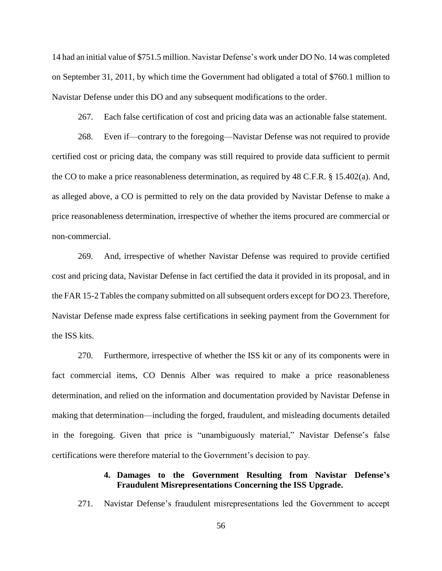14 had an initial value of \$751.5 million. Navistar Defense's work under DO No. 14 was completed on September 31, 2011, by which time the Government had obligated a total of \$760.1 million to Navistar Defense under this DO and any subsequent modifications to the order.

267. Each false certification of cost and pricing data was an actionable false statement.

268. Even if—contrary to the foregoing—Navistar Defense was not required to provide certified cost or pricing data, the company was still required to provide data sufficient to permit the CO to make a price reasonableness determination, as required by 48 C.F.R. § 15.402(a). And, as alleged above, a CO is permitted to rely on the data provided by Navistar Defense to make a price reasonableness determination, irrespective of whether the items procured are commercial or non-commercial.

269. And, irrespective of whether Navistar Defense was required to provide certified cost and pricing data, Navistar Defense in fact certified the data it provided in its proposal, and in the FAR 15-2 Tables the company submitted on all subsequent orders except for DO 23. Therefore, Navistar Defense made express false certifications in seeking payment from the Government for the ISS kits.

270. Furthermore, irrespective of whether the ISS kit or any of its components were in fact commercial items, CO Dennis Alber was required to make a price reasonableness determination, and relied on the information and documentation provided by Navistar Defense in making that determination—including the forged, fraudulent, and misleading documents detailed in the foregoing. Given that price is "unambiguously material," Navistar Defense's false certifications were therefore material to the Government's decision to pay.

### **4. Damages to the Government Resulting from Navistar Defense's Fraudulent Misrepresentations Concerning the ISS Upgrade.**

271. Navistar Defense's fraudulent misrepresentations led the Government to accept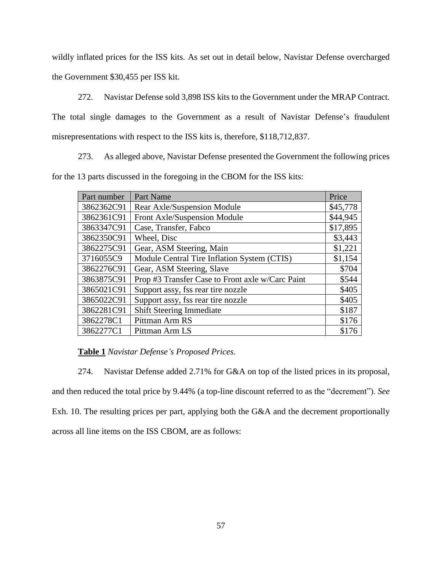wildly inflated prices for the ISS kits. As set out in detail below, Navistar Defense overcharged the Government \$30,455 per ISS kit.

272. Navistar Defense sold 3,898 ISS kits to the Government under the MRAP Contract. The total single damages to the Government as a result of Navistar Defense's fraudulent misrepresentations with respect to the ISS kits is, therefore, \$118,712,837.

273. As alleged above, Navistar Defense presented the Government the following prices for the 13 parts discussed in the foregoing in the CBOM for the ISS kits:

| Part number | Part Name                                        | Price    |
|-------------|--------------------------------------------------|----------|
| 3862362C91  | Rear Axle/Suspension Module                      | \$45,778 |
| 3862361C91  | Front Axle/Suspension Module                     | \$44,945 |
| 3863347C91  | Case, Transfer, Fabco                            | \$17,895 |
| 3862350C91  | Wheel, Disc                                      | \$3,443  |
| 3862275C91  | Gear, ASM Steering, Main                         | \$1,221  |
| 3716055C9   | Module Central Tire Inflation System (CTIS)      | \$1,154  |
| 3862276C91  | Gear, ASM Steering, Slave                        | \$704    |
| 3863875C91  | Prop #3 Transfer Case to Front axle w/Carc Paint | \$544    |
| 3865021C91  | Support assy, fss rear tire nozzle               | \$405    |
| 3865022C91  | Support assy, fss rear tire nozzle               | \$405    |
| 3862281C91  | <b>Shift Steering Immediate</b>                  | \$187    |
| 3862278C1   | Pittman Arm RS                                   | \$176    |
| 3862277C1   | Pittman Arm LS                                   | \$176    |

**Table 1** *Navistar Defense's Proposed Prices*.

274. Navistar Defense added 2.71% for G&A on top of the listed prices in its proposal, and then reduced the total price by 9.44% (a top-line discount referred to as the "decrement"). *See* Exh. 10. The resulting prices per part, applying both the G&A and the decrement proportionally across all line items on the ISS CBOM, are as follows: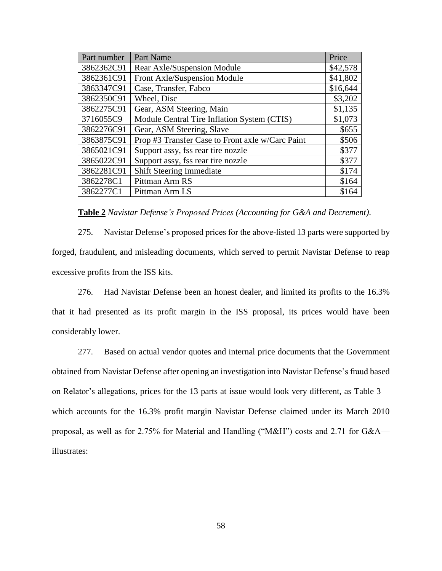| Part Name                                        | Price    |
|--------------------------------------------------|----------|
| Rear Axle/Suspension Module                      | \$42,578 |
| Front Axle/Suspension Module                     | \$41,802 |
| Case, Transfer, Fabco                            | \$16,644 |
| Wheel, Disc                                      | \$3,202  |
| Gear, ASM Steering, Main                         | \$1,135  |
| Module Central Tire Inflation System (CTIS)      | \$1,073  |
| Gear, ASM Steering, Slave                        | \$655    |
| Prop #3 Transfer Case to Front axle w/Carc Paint | \$506    |
| Support assy, fss rear tire nozzle               | \$377    |
| Support assy, fss rear tire nozzle               | \$377    |
| <b>Shift Steering Immediate</b>                  | \$174    |
| Pittman Arm RS                                   | \$164    |
| Pittman Arm LS                                   | \$164    |
|                                                  |          |

**Table 2** *Navistar Defense's Proposed Prices (Accounting for G&A and Decrement)*.

275. Navistar Defense's proposed prices for the above-listed 13 parts were supported by forged, fraudulent, and misleading documents, which served to permit Navistar Defense to reap excessive profits from the ISS kits.

276. Had Navistar Defense been an honest dealer, and limited its profits to the 16.3% that it had presented as its profit margin in the ISS proposal, its prices would have been considerably lower.

277. Based on actual vendor quotes and internal price documents that the Government obtained from Navistar Defense after opening an investigation into Navistar Defense's fraud based on Relator's allegations, prices for the 13 parts at issue would look very different, as Table 3 which accounts for the 16.3% profit margin Navistar Defense claimed under its March 2010 proposal, as well as for 2.75% for Material and Handling ("M&H") costs and 2.71 for G&A illustrates: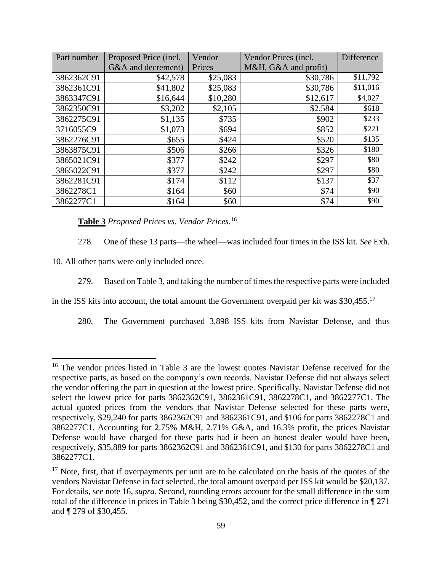| Part number | Proposed Price (incl. | Vendor   | Vendor Prices (incl. | <b>Difference</b> |
|-------------|-----------------------|----------|----------------------|-------------------|
|             | G&A and decrement)    | Prices   | M&H, G&A and profit) |                   |
| 3862362C91  | \$42,578              | \$25,083 | \$30,786             | \$11,792          |
| 3862361C91  | \$41,802              | \$25,083 | \$30,786             | \$11,016          |
| 3863347C91  | \$16,644              | \$10,280 | \$12,617             | \$4,027           |
| 3862350C91  | \$3,202               | \$2,105  | \$2,584              | \$618             |
| 3862275C91  | \$1,135               | \$735    | \$902                | \$233             |
| 3716055C9   | \$1,073               | \$694    | \$852                | \$221             |
| 3862276C91  | \$655                 | \$424    | \$520                | \$135             |
| 3863875C91  | \$506                 | \$266    | \$326                | \$180             |
| 3865021C91  | \$377                 | \$242    | \$297                | \$80              |
| 3865022C91  | \$377                 | \$242    | \$297                | \$80              |
| 3862281C91  | \$174                 | \$112    | \$137                | \$37              |
| 3862278C1   | \$164                 | \$60     | \$74                 | \$90              |
| 3862277C1   | \$164                 | \$60     | \$74                 | \$90              |

**Table 3** *Proposed Prices vs. Vendor Prices*. 16

278. One of these 13 parts—the wheel—was included four times in the ISS kit. *See* Exh.

10. All other parts were only included once.

 $\overline{a}$ 

279. Based on Table 3, and taking the number of times the respective parts were included

in the ISS kits into account, the total amount the Government overpaid per kit was  $$30,455$ .<sup>17</sup>

280. The Government purchased 3,898 ISS kits from Navistar Defense, and thus

<sup>&</sup>lt;sup>16</sup> The vendor prices listed in Table 3 are the lowest quotes Navistar Defense received for the respective parts, as based on the company's own records. Navistar Defense did not always select the vendor offering the part in question at the lowest price. Specifically, Navistar Defense did not select the lowest price for parts 3862362C91, 3862361C91, 3862278C1, and 3862277C1. The actual quoted prices from the vendors that Navistar Defense selected for these parts were, respectively, \$29,240 for parts 3862362C91 and 3862361C91, and \$106 for parts 3862278C1 and 3862277C1. Accounting for 2.75% M&H, 2.71% G&A, and 16.3% profit, the prices Navistar Defense would have charged for these parts had it been an honest dealer would have been, respectively, \$35,889 for parts 3862362C91 and 3862361C91, and \$130 for parts 3862278C1 and 3862277C1.

<sup>&</sup>lt;sup>17</sup> Note, first, that if overpayments per unit are to be calculated on the basis of the quotes of the vendors Navistar Defense in fact selected, the total amount overpaid per ISS kit would be \$20,137. For details, see note 16, *supra*. Second, rounding errors account for the small difference in the sum total of the difference in prices in Table 3 being \$30,452, and the correct price difference in ¶ 271 and ¶ 279 of \$30,455.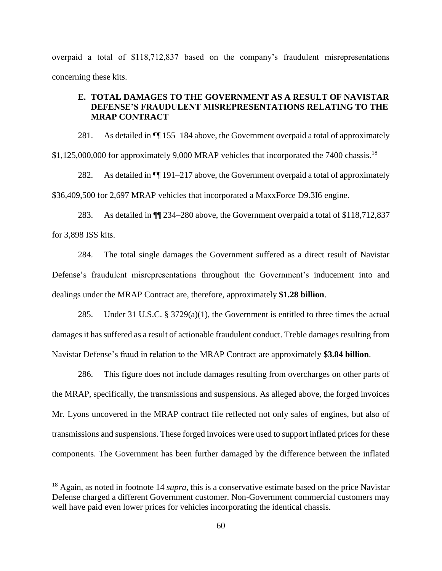overpaid a total of \$118,712,837 based on the company's fraudulent misrepresentations concerning these kits.

### **E. TOTAL DAMAGES TO THE GOVERNMENT AS A RESULT OF NAVISTAR DEFENSE'S FRAUDULENT MISREPRESENTATIONS RELATING TO THE MRAP CONTRACT**

281. As detailed in ¶¶ 155–184 above, the Government overpaid a total of approximately \$1,125,000,000 for approximately 9,000 MRAP vehicles that incorporated the 7400 chassis.<sup>18</sup>

282. As detailed in ¶¶ 191–217 above, the Government overpaid a total of approximately \$36,409,500 for 2,697 MRAP vehicles that incorporated a MaxxForce D9.3I6 engine.

283. As detailed in ¶¶ 234–280 above, the Government overpaid a total of \$118,712,837 for 3,898 ISS kits.

284. The total single damages the Government suffered as a direct result of Navistar Defense's fraudulent misrepresentations throughout the Government's inducement into and dealings under the MRAP Contract are, therefore, approximately **\$1.28 billion**.

285. Under 31 U.S.C. § 3729(a)(1), the Government is entitled to three times the actual damages it has suffered as a result of actionable fraudulent conduct. Treble damages resulting from Navistar Defense's fraud in relation to the MRAP Contract are approximately **\$3.84 billion**.

286. This figure does not include damages resulting from overcharges on other parts of the MRAP, specifically, the transmissions and suspensions. As alleged above, the forged invoices Mr. Lyons uncovered in the MRAP contract file reflected not only sales of engines, but also of transmissions and suspensions. These forged invoices were used to support inflated prices for these components. The Government has been further damaged by the difference between the inflated

 $\overline{\phantom{a}}$ 

<sup>18</sup> Again, as noted in footnote 14 *supra*, this is a conservative estimate based on the price Navistar Defense charged a different Government customer. Non-Government commercial customers may well have paid even lower prices for vehicles incorporating the identical chassis.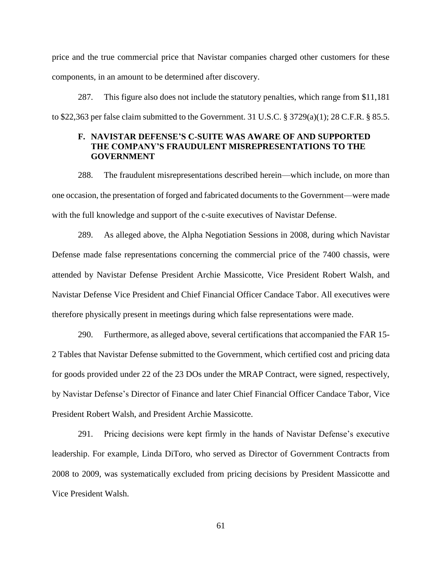price and the true commercial price that Navistar companies charged other customers for these components, in an amount to be determined after discovery.

287. This figure also does not include the statutory penalties, which range from \$11,181 to \$22,363 per false claim submitted to the Government. 31 U.S.C. § 3729(a)(1); 28 C.F.R. § 85.5.

# **F. NAVISTAR DEFENSE'S C-SUITE WAS AWARE OF AND SUPPORTED THE COMPANY'S FRAUDULENT MISREPRESENTATIONS TO THE GOVERNMENT**

288. The fraudulent misrepresentations described herein—which include, on more than one occasion, the presentation of forged and fabricated documents to the Government—were made with the full knowledge and support of the c-suite executives of Navistar Defense.

289. As alleged above, the Alpha Negotiation Sessions in 2008, during which Navistar Defense made false representations concerning the commercial price of the 7400 chassis, were attended by Navistar Defense President Archie Massicotte, Vice President Robert Walsh, and Navistar Defense Vice President and Chief Financial Officer Candace Tabor. All executives were therefore physically present in meetings during which false representations were made.

290. Furthermore, as alleged above, several certifications that accompanied the FAR 15- 2 Tables that Navistar Defense submitted to the Government, which certified cost and pricing data for goods provided under 22 of the 23 DOs under the MRAP Contract, were signed, respectively, by Navistar Defense's Director of Finance and later Chief Financial Officer Candace Tabor, Vice President Robert Walsh, and President Archie Massicotte.

291. Pricing decisions were kept firmly in the hands of Navistar Defense's executive leadership. For example, Linda DiToro, who served as Director of Government Contracts from 2008 to 2009, was systematically excluded from pricing decisions by President Massicotte and Vice President Walsh.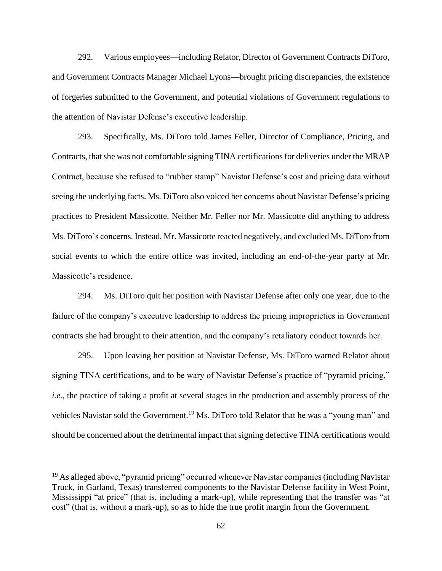292. Various employees—including Relator, Director of Government Contracts DiToro, and Government Contracts Manager Michael Lyons—brought pricing discrepancies, the existence of forgeries submitted to the Government, and potential violations of Government regulations to the attention of Navistar Defense's executive leadership.

293. Specifically, Ms. DiToro told James Feller, Director of Compliance, Pricing, and Contracts, that she was not comfortable signing TINA certifications for deliveries under the MRAP Contract, because she refused to "rubber stamp" Navistar Defense's cost and pricing data without seeing the underlying facts. Ms. DiToro also voiced her concerns about Navistar Defense's pricing practices to President Massicotte. Neither Mr. Feller nor Mr. Massicotte did anything to address Ms. DiToro's concerns. Instead, Mr. Massicotte reacted negatively, and excluded Ms. DiToro from social events to which the entire office was invited, including an end-of-the-year party at Mr. Massicotte's residence.

294. Ms. DiToro quit her position with Navistar Defense after only one year, due to the failure of the company's executive leadership to address the pricing improprieties in Government contracts she had brought to their attention, and the company's retaliatory conduct towards her.

295. Upon leaving her position at Navistar Defense, Ms. DiToro warned Relator about signing TINA certifications, and to be wary of Navistar Defense's practice of "pyramid pricing," *i.e.*, the practice of taking a profit at several stages in the production and assembly process of the vehicles Navistar sold the Government.<sup>19</sup> Ms. DiToro told Relator that he was a "young man" and should be concerned about the detrimental impact that signing defective TINA certifications would

 $\overline{\phantom{a}}$ 

 $19$  As alleged above, "pyramid pricing" occurred whenever Navistar companies (including Navistar Truck, in Garland, Texas) transferred components to the Navistar Defense facility in West Point, Mississippi "at price" (that is, including a mark-up), while representing that the transfer was "at cost" (that is, without a mark-up), so as to hide the true profit margin from the Government.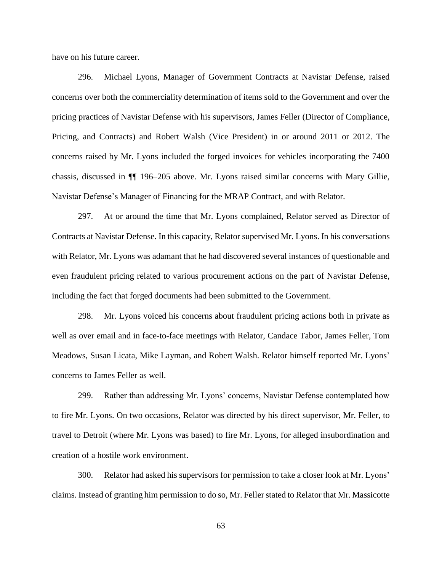have on his future career.

296. Michael Lyons, Manager of Government Contracts at Navistar Defense, raised concerns over both the commerciality determination of items sold to the Government and over the pricing practices of Navistar Defense with his supervisors, James Feller (Director of Compliance, Pricing, and Contracts) and Robert Walsh (Vice President) in or around 2011 or 2012. The concerns raised by Mr. Lyons included the forged invoices for vehicles incorporating the 7400 chassis, discussed in ¶¶ 196–205 above. Mr. Lyons raised similar concerns with Mary Gillie, Navistar Defense's Manager of Financing for the MRAP Contract, and with Relator.

297. At or around the time that Mr. Lyons complained, Relator served as Director of Contracts at Navistar Defense. In this capacity, Relator supervised Mr. Lyons. In his conversations with Relator, Mr. Lyons was adamant that he had discovered several instances of questionable and even fraudulent pricing related to various procurement actions on the part of Navistar Defense, including the fact that forged documents had been submitted to the Government.

298. Mr. Lyons voiced his concerns about fraudulent pricing actions both in private as well as over email and in face-to-face meetings with Relator, Candace Tabor, James Feller, Tom Meadows, Susan Licata, Mike Layman, and Robert Walsh. Relator himself reported Mr. Lyons' concerns to James Feller as well.

299. Rather than addressing Mr. Lyons' concerns, Navistar Defense contemplated how to fire Mr. Lyons. On two occasions, Relator was directed by his direct supervisor, Mr. Feller, to travel to Detroit (where Mr. Lyons was based) to fire Mr. Lyons, for alleged insubordination and creation of a hostile work environment.

300. Relator had asked his supervisors for permission to take a closer look at Mr. Lyons' claims. Instead of granting him permission to do so, Mr. Feller stated to Relator that Mr. Massicotte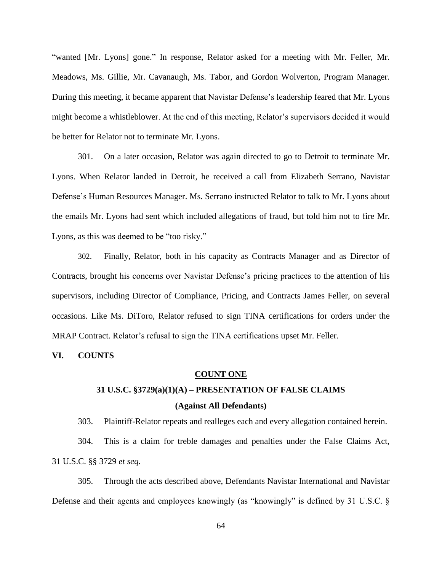"wanted [Mr. Lyons] gone." In response, Relator asked for a meeting with Mr. Feller, Mr. Meadows, Ms. Gillie, Mr. Cavanaugh, Ms. Tabor, and Gordon Wolverton, Program Manager. During this meeting, it became apparent that Navistar Defense's leadership feared that Mr. Lyons might become a whistleblower. At the end of this meeting, Relator's supervisors decided it would be better for Relator not to terminate Mr. Lyons.

301. On a later occasion, Relator was again directed to go to Detroit to terminate Mr. Lyons. When Relator landed in Detroit, he received a call from Elizabeth Serrano, Navistar Defense's Human Resources Manager. Ms. Serrano instructed Relator to talk to Mr. Lyons about the emails Mr. Lyons had sent which included allegations of fraud, but told him not to fire Mr. Lyons, as this was deemed to be "too risky."

302. Finally, Relator, both in his capacity as Contracts Manager and as Director of Contracts, brought his concerns over Navistar Defense's pricing practices to the attention of his supervisors, including Director of Compliance, Pricing, and Contracts James Feller, on several occasions. Like Ms. DiToro, Relator refused to sign TINA certifications for orders under the MRAP Contract. Relator's refusal to sign the TINA certifications upset Mr. Feller.

#### **VI. COUNTS**

#### **COUNT ONE**

# **31 U.S.C. §3729(a)(1)(A) – PRESENTATION OF FALSE CLAIMS (Against All Defendants)**

303. Plaintiff-Relator repeats and realleges each and every allegation contained herein.

304. This is a claim for treble damages and penalties under the False Claims Act, 31 U.S.C. §§ 3729 *et seq*.

305. Through the acts described above, Defendants Navistar International and Navistar Defense and their agents and employees knowingly (as "knowingly" is defined by 31 U.S.C. §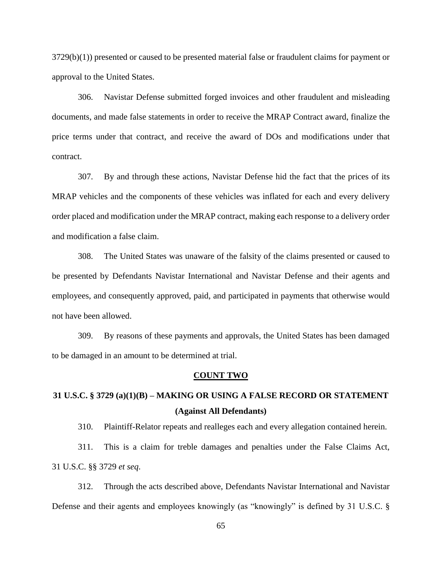3729(b)(1)) presented or caused to be presented material false or fraudulent claims for payment or approval to the United States.

306. Navistar Defense submitted forged invoices and other fraudulent and misleading documents, and made false statements in order to receive the MRAP Contract award, finalize the price terms under that contract, and receive the award of DOs and modifications under that contract.

307. By and through these actions, Navistar Defense hid the fact that the prices of its MRAP vehicles and the components of these vehicles was inflated for each and every delivery order placed and modification under the MRAP contract, making each response to a delivery order and modification a false claim.

308. The United States was unaware of the falsity of the claims presented or caused to be presented by Defendants Navistar International and Navistar Defense and their agents and employees, and consequently approved, paid, and participated in payments that otherwise would not have been allowed.

309. By reasons of these payments and approvals, the United States has been damaged to be damaged in an amount to be determined at trial.

#### **COUNT TWO**

# **31 U.S.C. § 3729 (a)(1)(B) – MAKING OR USING A FALSE RECORD OR STATEMENT (Against All Defendants)**

310. Plaintiff-Relator repeats and realleges each and every allegation contained herein.

311. This is a claim for treble damages and penalties under the False Claims Act, 31 U.S.C. §§ 3729 *et seq*.

312. Through the acts described above, Defendants Navistar International and Navistar Defense and their agents and employees knowingly (as "knowingly" is defined by 31 U.S.C. §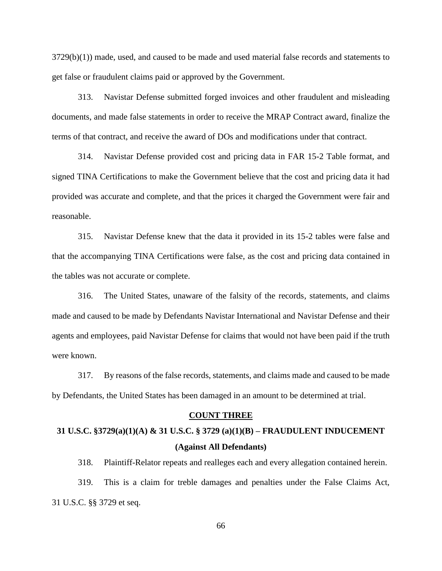$3729(b)(1)$ ) made, used, and caused to be made and used material false records and statements to get false or fraudulent claims paid or approved by the Government.

313. Navistar Defense submitted forged invoices and other fraudulent and misleading documents, and made false statements in order to receive the MRAP Contract award, finalize the terms of that contract, and receive the award of DOs and modifications under that contract.

314. Navistar Defense provided cost and pricing data in FAR 15-2 Table format, and signed TINA Certifications to make the Government believe that the cost and pricing data it had provided was accurate and complete, and that the prices it charged the Government were fair and reasonable.

315. Navistar Defense knew that the data it provided in its 15-2 tables were false and that the accompanying TINA Certifications were false, as the cost and pricing data contained in the tables was not accurate or complete.

316. The United States, unaware of the falsity of the records, statements, and claims made and caused to be made by Defendants Navistar International and Navistar Defense and their agents and employees, paid Navistar Defense for claims that would not have been paid if the truth were known.

317. By reasons of the false records, statements, and claims made and caused to be made by Defendants, the United States has been damaged in an amount to be determined at trial.

#### **COUNT THREE**

# **31 U.S.C. §3729(a)(1)(A) & 31 U.S.C. § 3729 (a)(1)(B) – FRAUDULENT INDUCEMENT (Against All Defendants)**

318. Plaintiff-Relator repeats and realleges each and every allegation contained herein.

319. This is a claim for treble damages and penalties under the False Claims Act, 31 U.S.C. §§ 3729 et seq.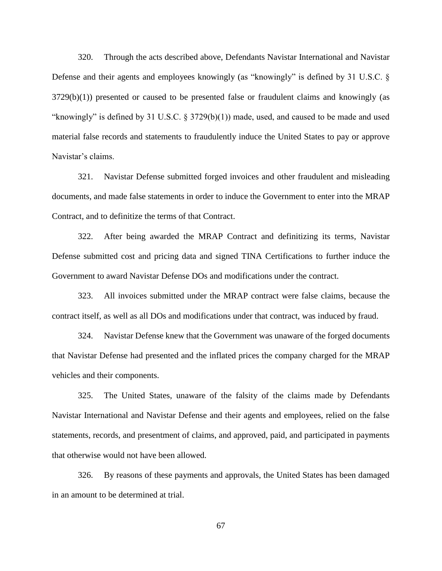320. Through the acts described above, Defendants Navistar International and Navistar Defense and their agents and employees knowingly (as "knowingly" is defined by 31 U.S.C. §  $3729(b)(1)$ ) presented or caused to be presented false or fraudulent claims and knowingly (as "knowingly" is defined by 31 U.S.C. § 3729(b)(1)) made, used, and caused to be made and used material false records and statements to fraudulently induce the United States to pay or approve Navistar's claims.

321. Navistar Defense submitted forged invoices and other fraudulent and misleading documents, and made false statements in order to induce the Government to enter into the MRAP Contract, and to definitize the terms of that Contract.

322. After being awarded the MRAP Contract and definitizing its terms, Navistar Defense submitted cost and pricing data and signed TINA Certifications to further induce the Government to award Navistar Defense DOs and modifications under the contract.

323. All invoices submitted under the MRAP contract were false claims, because the contract itself, as well as all DOs and modifications under that contract, was induced by fraud.

324. Navistar Defense knew that the Government was unaware of the forged documents that Navistar Defense had presented and the inflated prices the company charged for the MRAP vehicles and their components.

325. The United States, unaware of the falsity of the claims made by Defendants Navistar International and Navistar Defense and their agents and employees, relied on the false statements, records, and presentment of claims, and approved, paid, and participated in payments that otherwise would not have been allowed.

326. By reasons of these payments and approvals, the United States has been damaged in an amount to be determined at trial.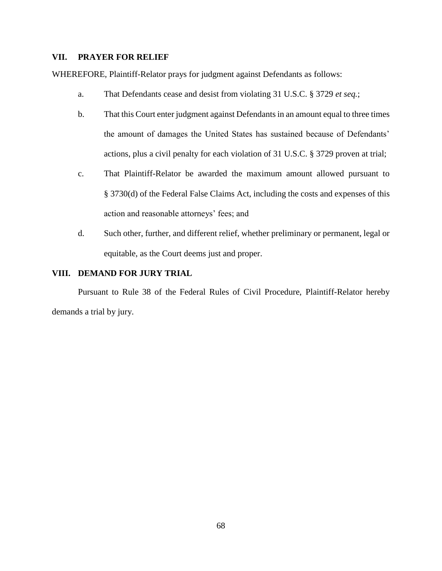## **VII. PRAYER FOR RELIEF**

WHEREFORE, Plaintiff-Relator prays for judgment against Defendants as follows:

- a. That Defendants cease and desist from violating 31 U.S.C. § 3729 *et seq.*;
- b. That this Court enter judgment against Defendants in an amount equal to three times the amount of damages the United States has sustained because of Defendants' actions, plus a civil penalty for each violation of 31 U.S.C. § 3729 proven at trial;
- c. That Plaintiff-Relator be awarded the maximum amount allowed pursuant to § 3730(d) of the Federal False Claims Act, including the costs and expenses of this action and reasonable attorneys' fees; and
- d. Such other, further, and different relief, whether preliminary or permanent, legal or equitable, as the Court deems just and proper.

## **VIII. DEMAND FOR JURY TRIAL**

Pursuant to Rule 38 of the Federal Rules of Civil Procedure, Plaintiff-Relator hereby demands a trial by jury.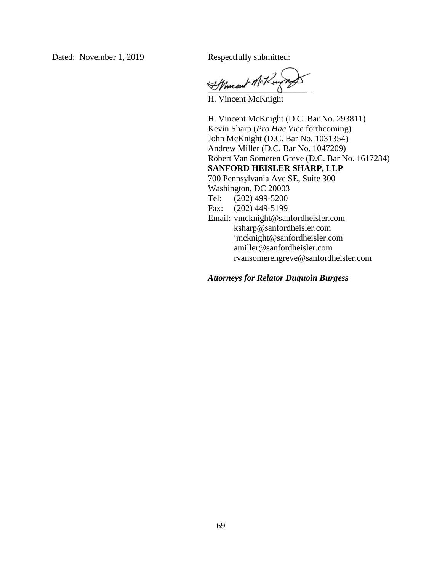Dated: November 1, 2019 Respectfully submitted:

Affment Mei

H. Vincent McKnight

H. Vincent McKnight (D.C. Bar No. 293811) Kevin Sharp (*Pro Hac Vice* forthcoming) John McKnight (D.C. Bar No. 1031354) Andrew Miller (D.C. Bar No. 1047209) Robert Van Someren Greve (D.C. Bar No. 1617234) **SANFORD HEISLER SHARP, LLP** 700 Pennsylvania Ave SE, Suite 300 Washington, DC 20003 Tel: (202) 499-5200 Fax: (202) 449-5199 Email: [vmcknight@sanfordheisler.com](mailto:vmcknight@sanfordheisler.com) [ksharp@sanfordheisler.com](mailto:ksharp@sanfordheisler.com) [jmcknight@sanfordheisler.com](mailto:jmcknight@sanfordheisler.com) [amiller@sanfordheisler.com](mailto:amiller@sanfordheisler.com) [rvansomerengreve@sanfordheisler.com](mailto:rvansomerengreve@sanfordheisler.com) 

*Attorneys for Relator Duquoin Burgess*